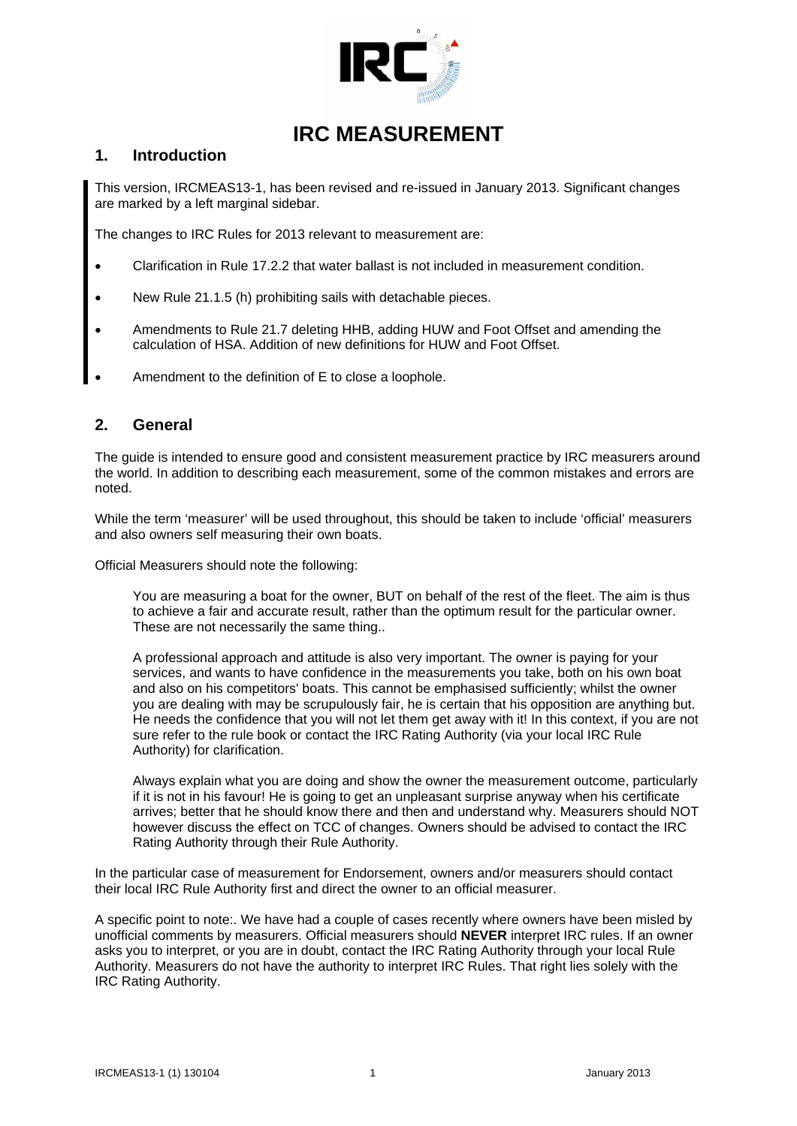

# **IRC MEASUREMENT**

### **1. Introduction**

This version, IRCMEAS13-1, has been revised and re-issued in January 2013. Significant changes are marked by a left marginal sidebar.

The changes to IRC Rules for 2013 relevant to measurement are:

- Clarification in Rule 17.2.2 that water ballast is not included in measurement condition.
- New Rule 21.1.5 (h) prohibiting sails with detachable pieces.
- Amendments to Rule 21.7 deleting HHB, adding HUW and Foot Offset and amending the calculation of HSA. Addition of new definitions for HUW and Foot Offset.
- Amendment to the definition of E to close a loophole.

### **2. General**

The guide is intended to ensure good and consistent measurement practice by IRC measurers around the world. In addition to describing each measurement, some of the common mistakes and errors are noted.

While the term 'measurer' will be used throughout, this should be taken to include 'official' measurers and also owners self measuring their own boats.

Official Measurers should note the following:

You are measuring a boat for the owner, BUT on behalf of the rest of the fleet. The aim is thus to achieve a fair and accurate result, rather than the optimum result for the particular owner. These are not necessarily the same thing..

A professional approach and attitude is also very important. The owner is paying for your services, and wants to have confidence in the measurements you take, both on his own boat and also on his competitors' boats. This cannot be emphasised sufficiently; whilst the owner you are dealing with may be scrupulously fair, he is certain that his opposition are anything but. He needs the confidence that you will not let them get away with it! In this context, if you are not sure refer to the rule book or contact the IRC Rating Authority (via your local IRC Rule Authority) for clarification.

Always explain what you are doing and show the owner the measurement outcome, particularly if it is not in his favour! He is going to get an unpleasant surprise anyway when his certificate arrives; better that he should know there and then and understand why. Measurers should NOT however discuss the effect on TCC of changes. Owners should be advised to contact the IRC Rating Authority through their Rule Authority.

In the particular case of measurement for Endorsement, owners and/or measurers should contact their local IRC Rule Authority first and direct the owner to an official measurer.

A specific point to note:. We have had a couple of cases recently where owners have been misled by unofficial comments by measurers. Official measurers should **NEVER** interpret IRC rules. If an owner asks you to interpret, or you are in doubt, contact the IRC Rating Authority through your local Rule Authority. Measurers do not have the authority to interpret IRC Rules. That right lies solely with the IRC Rating Authority.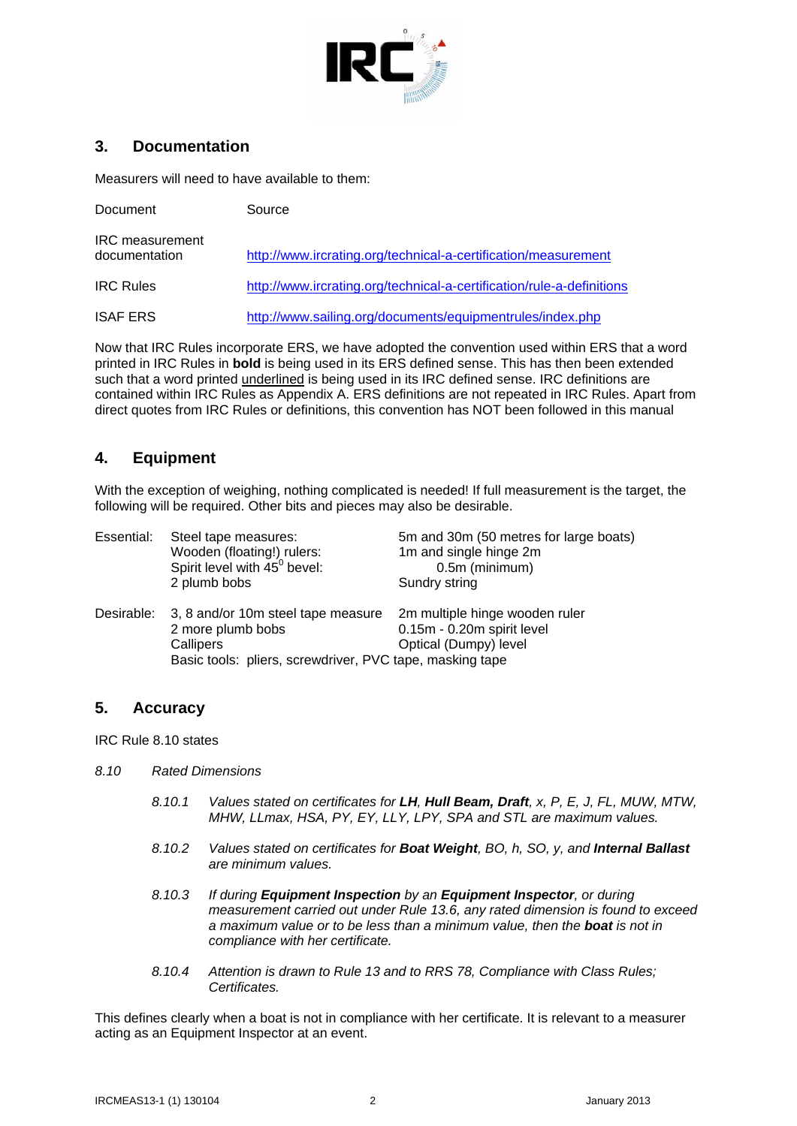

## **3. Documentation**

Measurers will need to have available to them:

| Document                                | Source                                                                |
|-----------------------------------------|-----------------------------------------------------------------------|
| <b>IRC</b> measurement<br>documentation | http://www.ircrating.org/technical-a-certification/measurement        |
| <b>IRC Rules</b>                        | http://www.ircrating.org/technical-a-certification/rule-a-definitions |
| <b>ISAF ERS</b>                         | http://www.sailing.org/documents/equipmentrules/index.php             |

Now that IRC Rules incorporate ERS, we have adopted the convention used within ERS that a word printed in IRC Rules in **bold** is being used in its ERS defined sense. This has then been extended such that a word printed underlined is being used in its IRC defined sense. IRC definitions are contained within IRC Rules as Appendix A. ERS definitions are not repeated in IRC Rules. Apart from direct quotes from IRC Rules or definitions, this convention has NOT been followed in this manual

## **4. Equipment**

With the exception of weighing, nothing complicated is needed! If full measurement is the target, the following will be required. Other bits and pieces may also be desirable.

| Essential: | Steel tape measures:<br>Wooden (floating!) rulers:<br>Spirit level with 45 <sup>0</sup> bevel:<br>2 plumb bobs                   | 5m and 30m (50 metres for large boats)<br>1m and single hinge 2m<br>0.5m (minimum)<br>Sundry string |
|------------|----------------------------------------------------------------------------------------------------------------------------------|-----------------------------------------------------------------------------------------------------|
| Desirable: | 3, 8 and/or 10m steel tape measure<br>2 more plumb bobs<br>Callipers<br>Basic tools: pliers, screwdriver, PVC tape, masking tape | 2m multiple hinge wooden ruler<br>0.15m - 0.20m spirit level<br>Optical (Dumpy) level               |

### **5. Accuracy**

IRC Rule 8.10 states

- *8.10 Rated Dimensions* 
	- *8.10.1 Values stated on certificates for LH, Hull Beam, Draft, x, P, E, J, FL, MUW, MTW, MHW, LLmax, HSA, PY, EY, LLY, LPY, SPA and STL are maximum values.*
	- *8.10.2 Values stated on certificates for Boat Weight, BO, h, SO, y, and Internal Ballast are minimum values.*
	- *8.10.3 If during Equipment Inspection by an Equipment Inspector, or during measurement carried out under Rule 13.6, any rated dimension is found to exceed a maximum value or to be less than a minimum value, then the boat is not in compliance with her certificate.*
	- *8.10.4 Attention is drawn to Rule 13 and to RRS 78, Compliance with Class Rules; Certificates.*

This defines clearly when a boat is not in compliance with her certificate. It is relevant to a measurer acting as an Equipment Inspector at an event.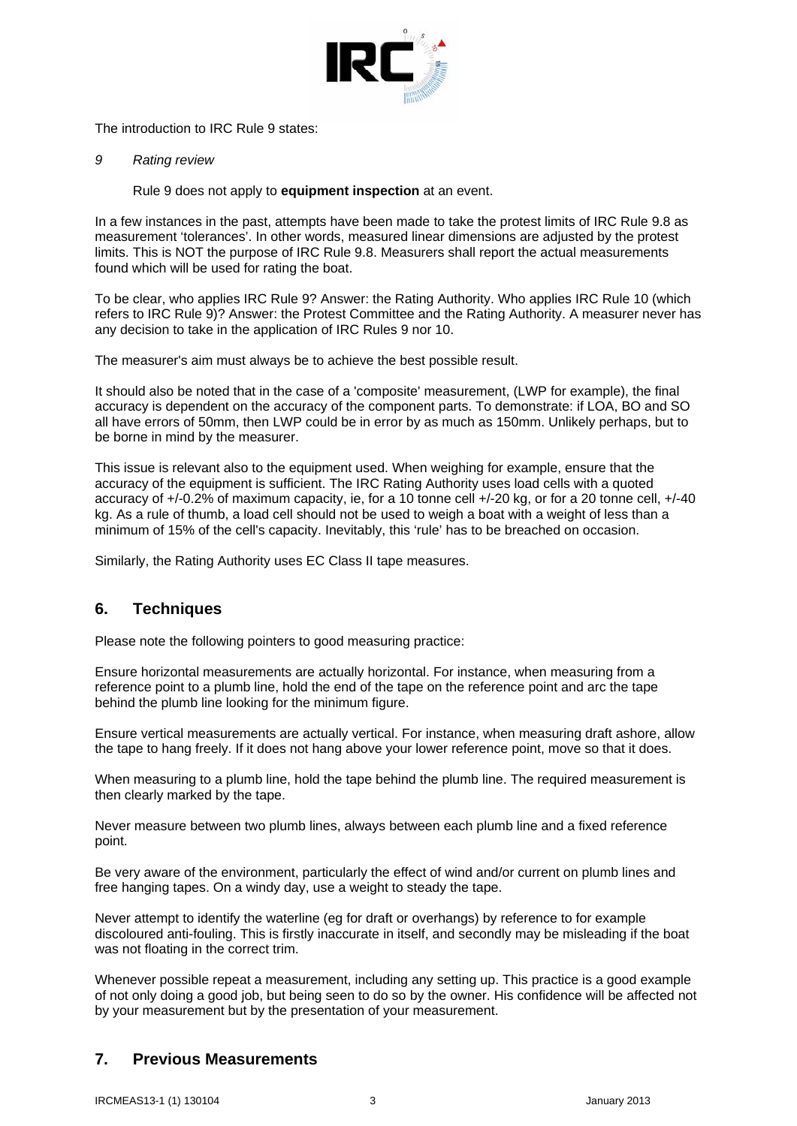

The introduction to IRC Rule 9 states:

*9 Rating review* 

Rule 9 does not apply to **equipment inspection** at an event.

In a few instances in the past, attempts have been made to take the protest limits of IRC Rule 9.8 as measurement 'tolerances'. In other words, measured linear dimensions are adjusted by the protest limits. This is NOT the purpose of IRC Rule 9.8. Measurers shall report the actual measurements found which will be used for rating the boat.

To be clear, who applies IRC Rule 9? Answer: the Rating Authority. Who applies IRC Rule 10 (which refers to IRC Rule 9)? Answer: the Protest Committee and the Rating Authority. A measurer never has any decision to take in the application of IRC Rules 9 nor 10.

The measurer's aim must always be to achieve the best possible result.

It should also be noted that in the case of a 'composite' measurement, (LWP for example), the final accuracy is dependent on the accuracy of the component parts. To demonstrate: if LOA, BO and SO all have errors of 50mm, then LWP could be in error by as much as 150mm. Unlikely perhaps, but to be borne in mind by the measurer.

This issue is relevant also to the equipment used. When weighing for example, ensure that the accuracy of the equipment is sufficient. The IRC Rating Authority uses load cells with a quoted accuracy of +/-0.2% of maximum capacity, ie, for a 10 tonne cell +/-20 kg, or for a 20 tonne cell, +/-40 kg. As a rule of thumb, a load cell should not be used to weigh a boat with a weight of less than a minimum of 15% of the cell's capacity. Inevitably, this 'rule' has to be breached on occasion.

Similarly, the Rating Authority uses EC Class II tape measures.

## **6. Techniques**

Please note the following pointers to good measuring practice:

Ensure horizontal measurements are actually horizontal. For instance, when measuring from a reference point to a plumb line, hold the end of the tape on the reference point and arc the tape behind the plumb line looking for the minimum figure.

Ensure vertical measurements are actually vertical. For instance, when measuring draft ashore, allow the tape to hang freely. If it does not hang above your lower reference point, move so that it does.

When measuring to a plumb line, hold the tape behind the plumb line. The required measurement is then clearly marked by the tape.

Never measure between two plumb lines, always between each plumb line and a fixed reference point.

Be very aware of the environment, particularly the effect of wind and/or current on plumb lines and free hanging tapes. On a windy day, use a weight to steady the tape.

Never attempt to identify the waterline (eg for draft or overhangs) by reference to for example discoloured anti-fouling. This is firstly inaccurate in itself, and secondly may be misleading if the boat was not floating in the correct trim.

Whenever possible repeat a measurement, including any setting up. This practice is a good example of not only doing a good job, but being seen to do so by the owner. His confidence will be affected not by your measurement but by the presentation of your measurement.

## **7. Previous Measurements**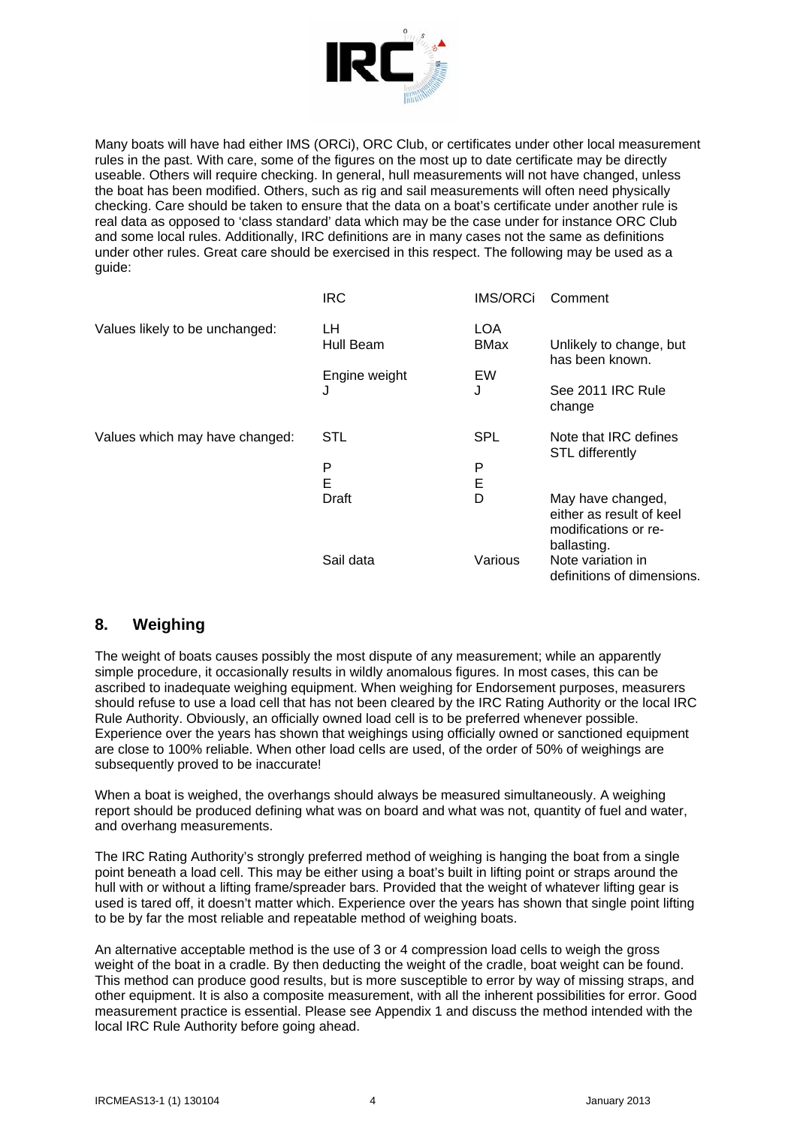

Many boats will have had either IMS (ORCi), ORC Club, or certificates under other local measurement rules in the past. With care, some of the figures on the most up to date certificate may be directly useable. Others will require checking. In general, hull measurements will not have changed, unless the boat has been modified. Others, such as rig and sail measurements will often need physically checking. Care should be taken to ensure that the data on a boat's certificate under another rule is real data as opposed to 'class standard' data which may be the case under for instance ORC Club and some local rules. Additionally, IRC definitions are in many cases not the same as definitions under other rules. Great care should be exercised in this respect. The following may be used as a guide:

|                                | <b>IRC</b>      | <b>IMS/ORCi</b>    | Comment                                                                              |
|--------------------------------|-----------------|--------------------|--------------------------------------------------------------------------------------|
| Values likely to be unchanged: | LН<br>Hull Beam | LOA<br><b>BMax</b> | Unlikely to change, but<br>has been known.                                           |
|                                | Engine weight   | EW                 |                                                                                      |
|                                | J               | J                  | See 2011 IRC Rule<br>change                                                          |
| Values which may have changed: | STL             | <b>SPL</b>         | Note that IRC defines<br><b>STL differently</b>                                      |
|                                | P               | P                  |                                                                                      |
|                                | E               | E                  |                                                                                      |
|                                | Draft           | D                  | May have changed,<br>either as result of keel<br>modifications or re-<br>ballasting. |
|                                | Sail data       | Various            | Note variation in<br>definitions of dimensions.                                      |

## **8. Weighing**

The weight of boats causes possibly the most dispute of any measurement; while an apparently simple procedure, it occasionally results in wildly anomalous figures. In most cases, this can be ascribed to inadequate weighing equipment. When weighing for Endorsement purposes, measurers should refuse to use a load cell that has not been cleared by the IRC Rating Authority or the local IRC Rule Authority. Obviously, an officially owned load cell is to be preferred whenever possible. Experience over the years has shown that weighings using officially owned or sanctioned equipment are close to 100% reliable. When other load cells are used, of the order of 50% of weighings are subsequently proved to be inaccurate!

When a boat is weighed, the overhangs should always be measured simultaneously. A weighing report should be produced defining what was on board and what was not, quantity of fuel and water, and overhang measurements.

The IRC Rating Authority's strongly preferred method of weighing is hanging the boat from a single point beneath a load cell. This may be either using a boat's built in lifting point or straps around the hull with or without a lifting frame/spreader bars. Provided that the weight of whatever lifting gear is used is tared off, it doesn't matter which. Experience over the years has shown that single point lifting to be by far the most reliable and repeatable method of weighing boats.

An alternative acceptable method is the use of 3 or 4 compression load cells to weigh the gross weight of the boat in a cradle. By then deducting the weight of the cradle, boat weight can be found. This method can produce good results, but is more susceptible to error by way of missing straps, and other equipment. It is also a composite measurement, with all the inherent possibilities for error. Good measurement practice is essential. Please see Appendix 1 and discuss the method intended with the local IRC Rule Authority before going ahead.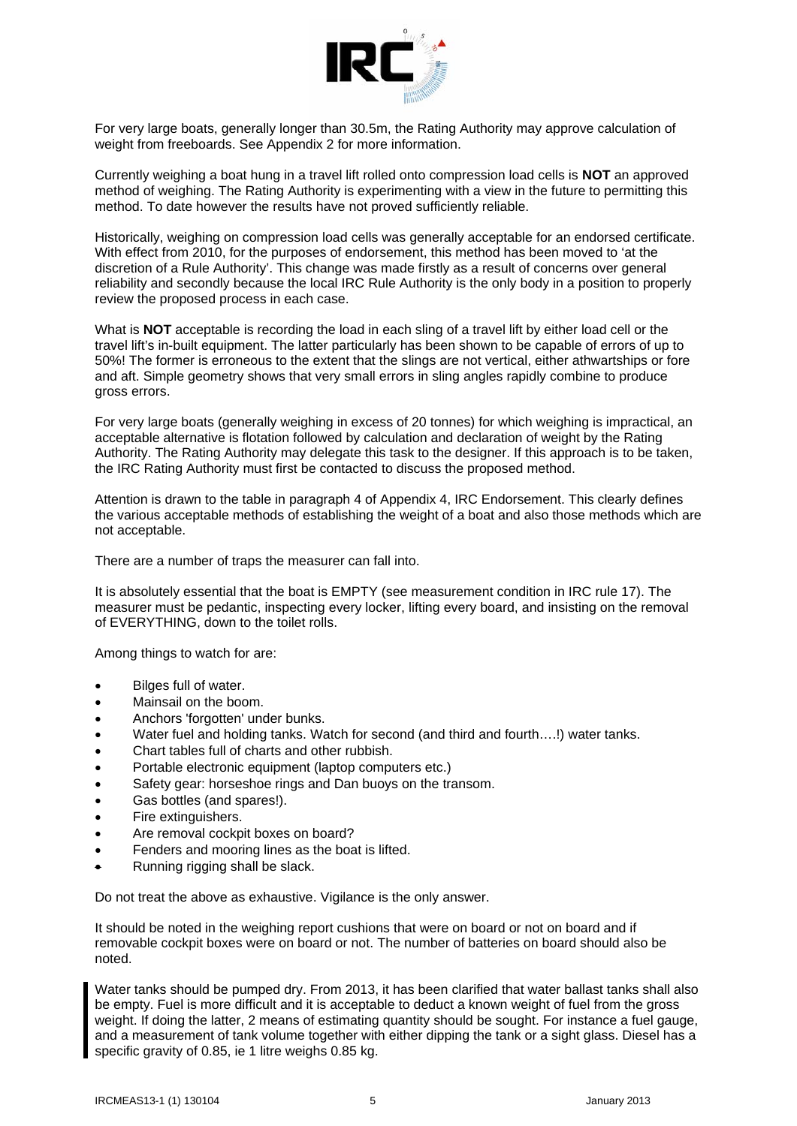

For very large boats, generally longer than 30.5m, the Rating Authority may approve calculation of weight from freeboards. See Appendix 2 for more information.

Currently weighing a boat hung in a travel lift rolled onto compression load cells is **NOT** an approved method of weighing. The Rating Authority is experimenting with a view in the future to permitting this method. To date however the results have not proved sufficiently reliable.

Historically, weighing on compression load cells was generally acceptable for an endorsed certificate. With effect from 2010, for the purposes of endorsement, this method has been moved to 'at the discretion of a Rule Authority'. This change was made firstly as a result of concerns over general reliability and secondly because the local IRC Rule Authority is the only body in a position to properly review the proposed process in each case.

What is **NOT** acceptable is recording the load in each sling of a travel lift by either load cell or the travel lift's in-built equipment. The latter particularly has been shown to be capable of errors of up to 50%! The former is erroneous to the extent that the slings are not vertical, either athwartships or fore and aft. Simple geometry shows that very small errors in sling angles rapidly combine to produce gross errors.

For very large boats (generally weighing in excess of 20 tonnes) for which weighing is impractical, an acceptable alternative is flotation followed by calculation and declaration of weight by the Rating Authority. The Rating Authority may delegate this task to the designer. If this approach is to be taken, the IRC Rating Authority must first be contacted to discuss the proposed method.

Attention is drawn to the table in paragraph 4 of Appendix 4, IRC Endorsement. This clearly defines the various acceptable methods of establishing the weight of a boat and also those methods which are not acceptable.

There are a number of traps the measurer can fall into.

It is absolutely essential that the boat is EMPTY (see measurement condition in IRC rule 17). The measurer must be pedantic, inspecting every locker, lifting every board, and insisting on the removal of EVERYTHING, down to the toilet rolls.

Among things to watch for are:

- Bilges full of water.
- Mainsail on the boom.
- Anchors 'forgotten' under bunks.
- Water fuel and holding tanks. Watch for second (and third and fourth….!) water tanks.
- Chart tables full of charts and other rubbish.
- Portable electronic equipment (laptop computers etc.)
- Safety gear: horseshoe rings and Dan buoys on the transom.
- Gas bottles (and spares!).
- Fire extinguishers.
- Are removal cockpit boxes on board?
- Fenders and mooring lines as the boat is lifted.
- Running rigging shall be slack.

Do not treat the above as exhaustive. Vigilance is the only answer.

It should be noted in the weighing report cushions that were on board or not on board and if removable cockpit boxes were on board or not. The number of batteries on board should also be noted.

Water tanks should be pumped dry. From 2013, it has been clarified that water ballast tanks shall also be empty. Fuel is more difficult and it is acceptable to deduct a known weight of fuel from the gross weight. If doing the latter, 2 means of estimating quantity should be sought. For instance a fuel gauge, and a measurement of tank volume together with either dipping the tank or a sight glass. Diesel has a specific gravity of 0.85, ie 1 litre weighs 0.85 kg.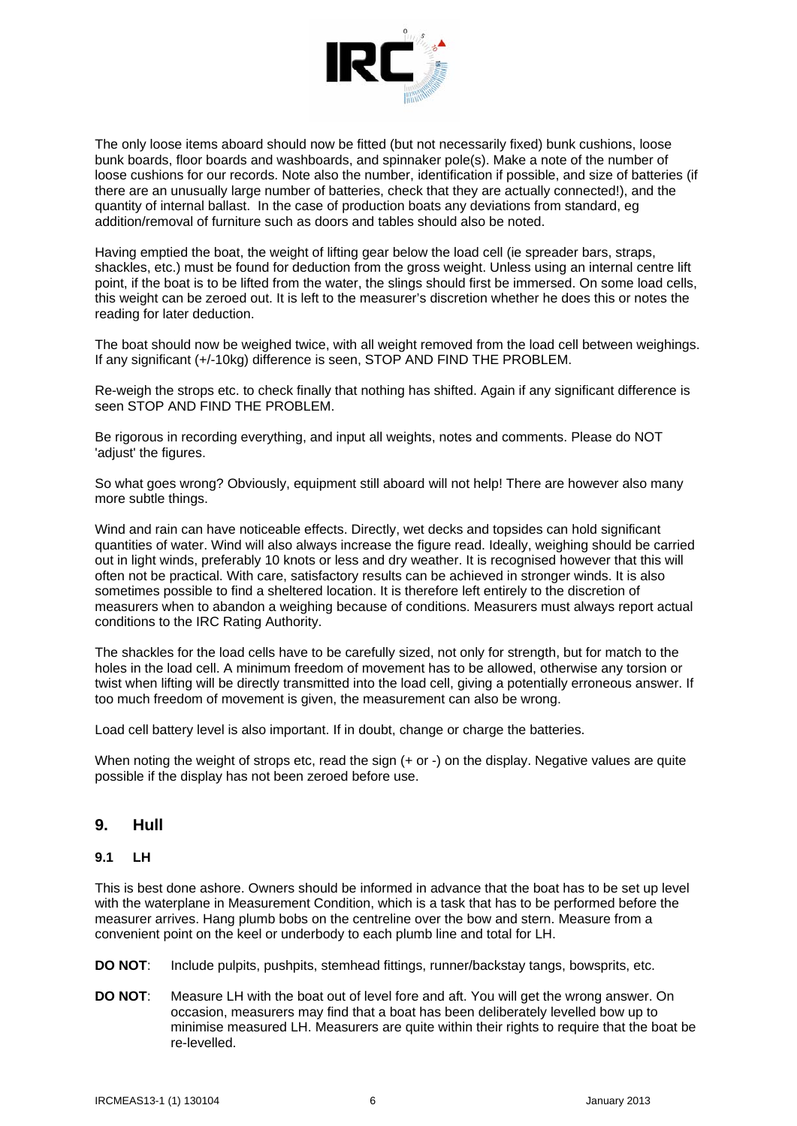

The only loose items aboard should now be fitted (but not necessarily fixed) bunk cushions, loose bunk boards, floor boards and washboards, and spinnaker pole(s). Make a note of the number of loose cushions for our records. Note also the number, identification if possible, and size of batteries (if there are an unusually large number of batteries, check that they are actually connected!), and the quantity of internal ballast. In the case of production boats any deviations from standard, eg addition/removal of furniture such as doors and tables should also be noted.

Having emptied the boat, the weight of lifting gear below the load cell (ie spreader bars, straps, shackles, etc.) must be found for deduction from the gross weight. Unless using an internal centre lift point, if the boat is to be lifted from the water, the slings should first be immersed. On some load cells, this weight can be zeroed out. It is left to the measurer's discretion whether he does this or notes the reading for later deduction.

The boat should now be weighed twice, with all weight removed from the load cell between weighings. If any significant (+/-10kg) difference is seen, STOP AND FIND THE PROBLEM.

Re-weigh the strops etc. to check finally that nothing has shifted. Again if any significant difference is seen STOP AND FIND THE PROBLEM.

Be rigorous in recording everything, and input all weights, notes and comments. Please do NOT 'adjust' the figures.

So what goes wrong? Obviously, equipment still aboard will not help! There are however also many more subtle things.

Wind and rain can have noticeable effects. Directly, wet decks and topsides can hold significant quantities of water. Wind will also always increase the figure read. Ideally, weighing should be carried out in light winds, preferably 10 knots or less and dry weather. It is recognised however that this will often not be practical. With care, satisfactory results can be achieved in stronger winds. It is also sometimes possible to find a sheltered location. It is therefore left entirely to the discretion of measurers when to abandon a weighing because of conditions. Measurers must always report actual conditions to the IRC Rating Authority.

The shackles for the load cells have to be carefully sized, not only for strength, but for match to the holes in the load cell. A minimum freedom of movement has to be allowed, otherwise any torsion or twist when lifting will be directly transmitted into the load cell, giving a potentially erroneous answer. If too much freedom of movement is given, the measurement can also be wrong.

Load cell battery level is also important. If in doubt, change or charge the batteries.

When noting the weight of strops etc, read the sign (+ or -) on the display. Negative values are quite possible if the display has not been zeroed before use.

### **9. Hull**

#### **9.1 LH**

This is best done ashore. Owners should be informed in advance that the boat has to be set up level with the waterplane in Measurement Condition, which is a task that has to be performed before the measurer arrives. Hang plumb bobs on the centreline over the bow and stern. Measure from a convenient point on the keel or underbody to each plumb line and total for LH.

**DO NOT**: Include pulpits, pushpits, stemhead fittings, runner/backstay tangs, bowsprits, etc.

**DO NOT**: Measure LH with the boat out of level fore and aft. You will get the wrong answer. On occasion, measurers may find that a boat has been deliberately levelled bow up to minimise measured LH. Measurers are quite within their rights to require that the boat be re-levelled.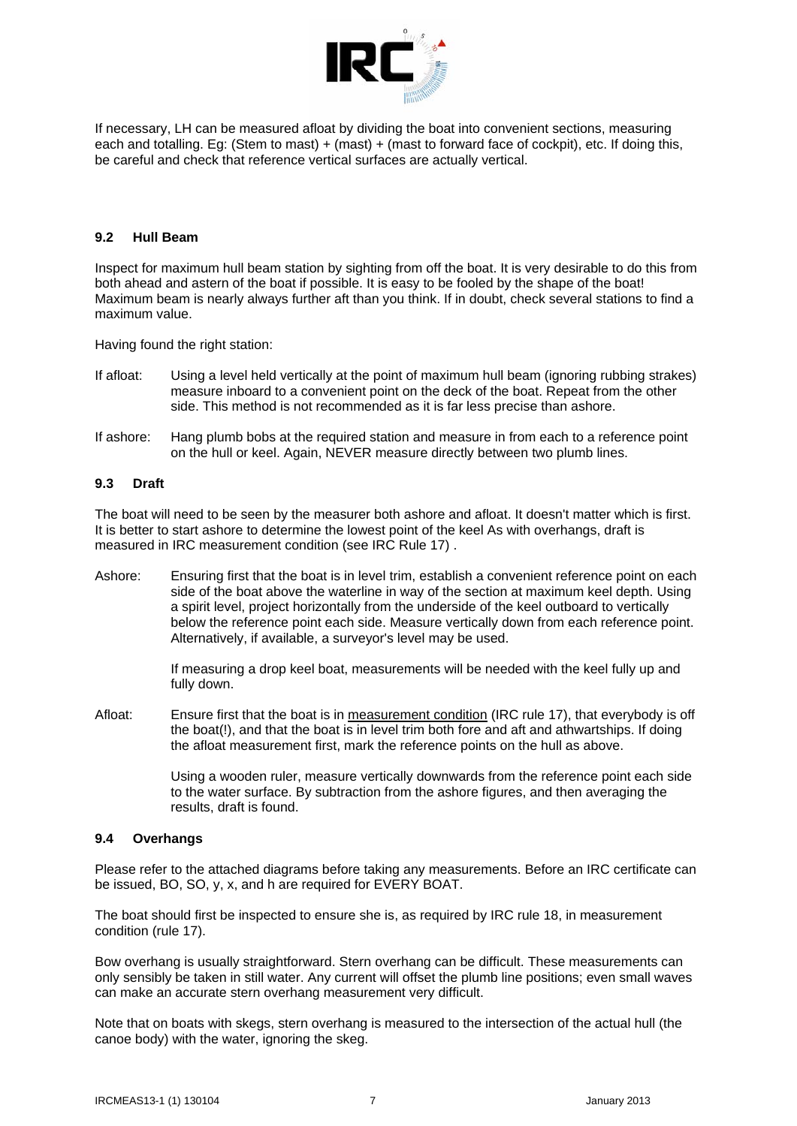

If necessary, LH can be measured afloat by dividing the boat into convenient sections, measuring each and totalling. Eg: (Stem to mast) + (mast) + (mast to forward face of cockpit), etc. If doing this, be careful and check that reference vertical surfaces are actually vertical.

#### **9.2 Hull Beam**

Inspect for maximum hull beam station by sighting from off the boat. It is very desirable to do this from both ahead and astern of the boat if possible. It is easy to be fooled by the shape of the boat! Maximum beam is nearly always further aft than you think. If in doubt, check several stations to find a maximum value.

Having found the right station:

- If afloat: Using a level held vertically at the point of maximum hull beam (ignoring rubbing strakes) measure inboard to a convenient point on the deck of the boat. Repeat from the other side. This method is not recommended as it is far less precise than ashore.
- If ashore: Hang plumb bobs at the required station and measure in from each to a reference point on the hull or keel. Again, NEVER measure directly between two plumb lines.

#### **9.3 Draft**

The boat will need to be seen by the measurer both ashore and afloat. It doesn't matter which is first. It is better to start ashore to determine the lowest point of the keel As with overhangs, draft is measured in IRC measurement condition (see IRC Rule 17) .

Ashore: Ensuring first that the boat is in level trim, establish a convenient reference point on each side of the boat above the waterline in way of the section at maximum keel depth. Using a spirit level, project horizontally from the underside of the keel outboard to vertically below the reference point each side. Measure vertically down from each reference point. Alternatively, if available, a surveyor's level may be used.

> If measuring a drop keel boat, measurements will be needed with the keel fully up and fully down.

Afloat: Ensure first that the boat is in measurement condition (IRC rule 17), that everybody is off the boat(!), and that the boat is in level trim both fore and aft and athwartships. If doing the afloat measurement first, mark the reference points on the hull as above.

> Using a wooden ruler, measure vertically downwards from the reference point each side to the water surface. By subtraction from the ashore figures, and then averaging the results, draft is found.

#### **9.4 Overhangs**

Please refer to the attached diagrams before taking any measurements. Before an IRC certificate can be issued, BO, SO, y, x, and h are required for EVERY BOAT.

The boat should first be inspected to ensure she is, as required by IRC rule 18, in measurement condition (rule 17).

Bow overhang is usually straightforward. Stern overhang can be difficult. These measurements can only sensibly be taken in still water. Any current will offset the plumb line positions; even small waves can make an accurate stern overhang measurement very difficult.

Note that on boats with skegs, stern overhang is measured to the intersection of the actual hull (the canoe body) with the water, ignoring the skeg.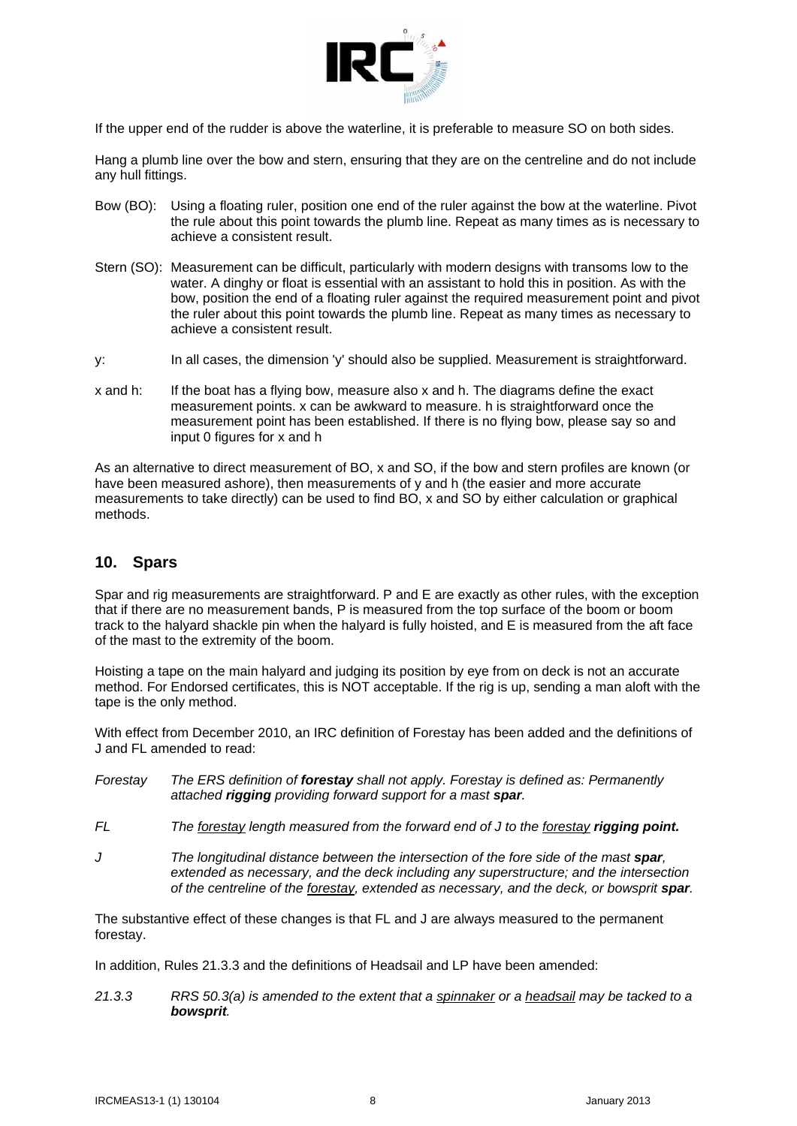

If the upper end of the rudder is above the waterline, it is preferable to measure SO on both sides.

Hang a plumb line over the bow and stern, ensuring that they are on the centreline and do not include any hull fittings.

- Bow (BO): Using a floating ruler, position one end of the ruler against the bow at the waterline. Pivot the rule about this point towards the plumb line. Repeat as many times as is necessary to achieve a consistent result.
- Stern (SO): Measurement can be difficult, particularly with modern designs with transoms low to the water. A dinghy or float is essential with an assistant to hold this in position. As with the bow, position the end of a floating ruler against the required measurement point and pivot the ruler about this point towards the plumb line. Repeat as many times as necessary to achieve a consistent result.
- y: In all cases, the dimension 'y' should also be supplied. Measurement is straightforward.
- x and h: If the boat has a flying bow, measure also x and h. The diagrams define the exact measurement points. x can be awkward to measure. h is straightforward once the measurement point has been established. If there is no flying bow, please say so and input 0 figures for x and h

As an alternative to direct measurement of BO, x and SO, if the bow and stern profiles are known (or have been measured ashore), then measurements of y and h (the easier and more accurate measurements to take directly) can be used to find BO, x and SO by either calculation or graphical methods.

## **10. Spars**

Spar and rig measurements are straightforward. P and E are exactly as other rules, with the exception that if there are no measurement bands, P is measured from the top surface of the boom or boom track to the halyard shackle pin when the halyard is fully hoisted, and E is measured from the aft face of the mast to the extremity of the boom.

Hoisting a tape on the main halyard and judging its position by eye from on deck is not an accurate method. For Endorsed certificates, this is NOT acceptable. If the rig is up, sending a man aloft with the tape is the only method.

With effect from December 2010, an IRC definition of Forestay has been added and the definitions of J and FL amended to read:

- *Forestay The ERS definition of forestay shall not apply. Forestay is defined as: Permanently attached rigging providing forward support for a mast spar.*
- *FL The forestay length measured from the forward end of J to the forestay rigging point.*
- *J The longitudinal distance between the intersection of the fore side of the mast spar, extended as necessary, and the deck including any superstructure; and the intersection of the centreline of the forestay, extended as necessary, and the deck, or bowsprit spar.*

The substantive effect of these changes is that FL and J are always measured to the permanent forestay.

In addition, Rules 21.3.3 and the definitions of Headsail and LP have been amended:

*21.3.3 RRS 50.3(a) is amended to the extent that a spinnaker or a headsail may be tacked to a bowsprit.*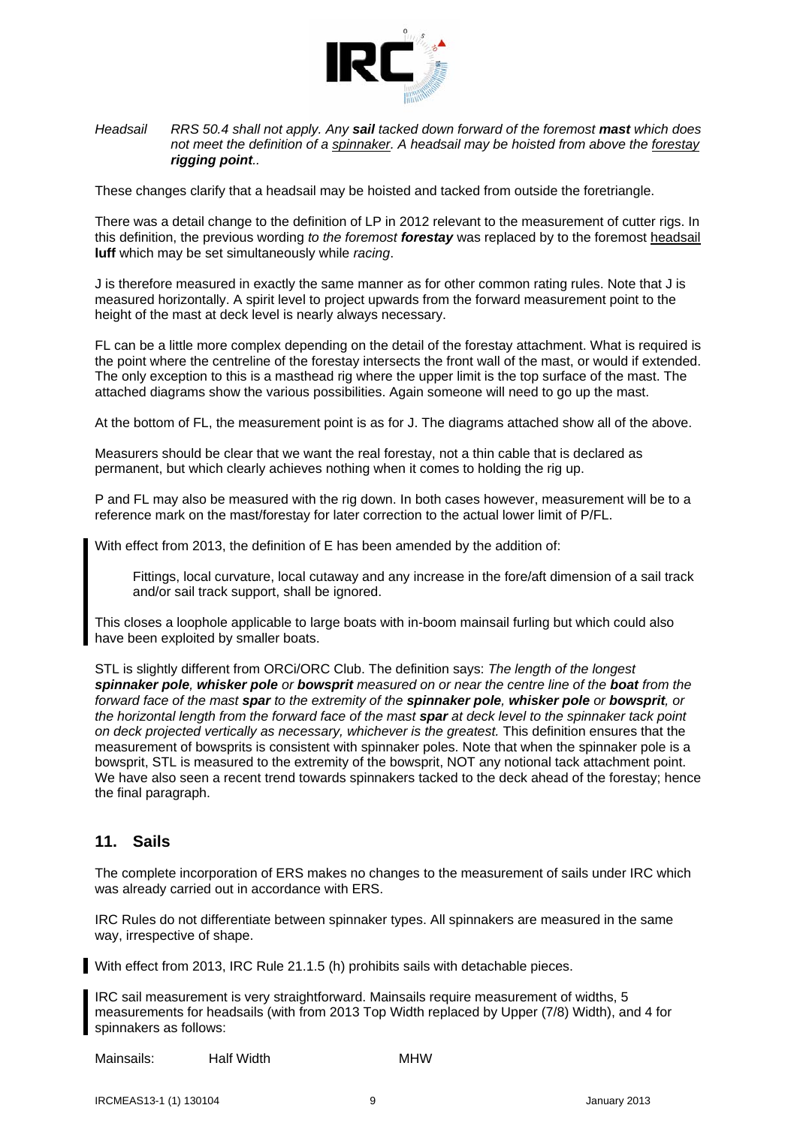

#### *Headsail RRS 50.4 shall not apply. Any sail tacked down forward of the foremost mast which does not meet the definition of a spinnaker. A headsail may be hoisted from above the forestay rigging point..*

These changes clarify that a headsail may be hoisted and tacked from outside the foretriangle.

There was a detail change to the definition of LP in 2012 relevant to the measurement of cutter rigs. In this definition, the previous wording *to the foremost forestay* was replaced by to the foremost headsail **luff** which may be set simultaneously while *racing*.

J is therefore measured in exactly the same manner as for other common rating rules. Note that J is measured horizontally. A spirit level to project upwards from the forward measurement point to the height of the mast at deck level is nearly always necessary.

FL can be a little more complex depending on the detail of the forestay attachment. What is required is the point where the centreline of the forestay intersects the front wall of the mast, or would if extended. The only exception to this is a masthead rig where the upper limit is the top surface of the mast. The attached diagrams show the various possibilities. Again someone will need to go up the mast.

At the bottom of FL, the measurement point is as for J. The diagrams attached show all of the above.

Measurers should be clear that we want the real forestay, not a thin cable that is declared as permanent, but which clearly achieves nothing when it comes to holding the rig up.

P and FL may also be measured with the rig down. In both cases however, measurement will be to a reference mark on the mast/forestay for later correction to the actual lower limit of P/FL.

With effect from 2013, the definition of E has been amended by the addition of:

 Fittings, local curvature, local cutaway and any increase in the fore/aft dimension of a sail track and/or sail track support, shall be ignored.

This closes a loophole applicable to large boats with in-boom mainsail furling but which could also have been exploited by smaller boats.

STL is slightly different from ORCi/ORC Club. The definition says: *The length of the longest spinnaker pole, whisker pole or bowsprit measured on or near the centre line of the boat from the forward face of the mast spar to the extremity of the spinnaker pole, whisker pole or bowsprit, or the horizontal length from the forward face of the mast spar at deck level to the spinnaker tack point on deck projected vertically as necessary, whichever is the greatest.* This definition ensures that the measurement of bowsprits is consistent with spinnaker poles. Note that when the spinnaker pole is a bowsprit, STL is measured to the extremity of the bowsprit, NOT any notional tack attachment point. We have also seen a recent trend towards spinnakers tacked to the deck ahead of the forestay; hence the final paragraph.

## **11. Sails**

The complete incorporation of ERS makes no changes to the measurement of sails under IRC which was already carried out in accordance with ERS.

IRC Rules do not differentiate between spinnaker types. All spinnakers are measured in the same way, irrespective of shape.

With effect from 2013, IRC Rule 21.1.5 (h) prohibits sails with detachable pieces.

IRC sail measurement is very straightforward. Mainsails require measurement of widths, 5 measurements for headsails (with from 2013 Top Width replaced by Upper (7/8) Width), and 4 for spinnakers as follows:

Mainsails: Half Width MHW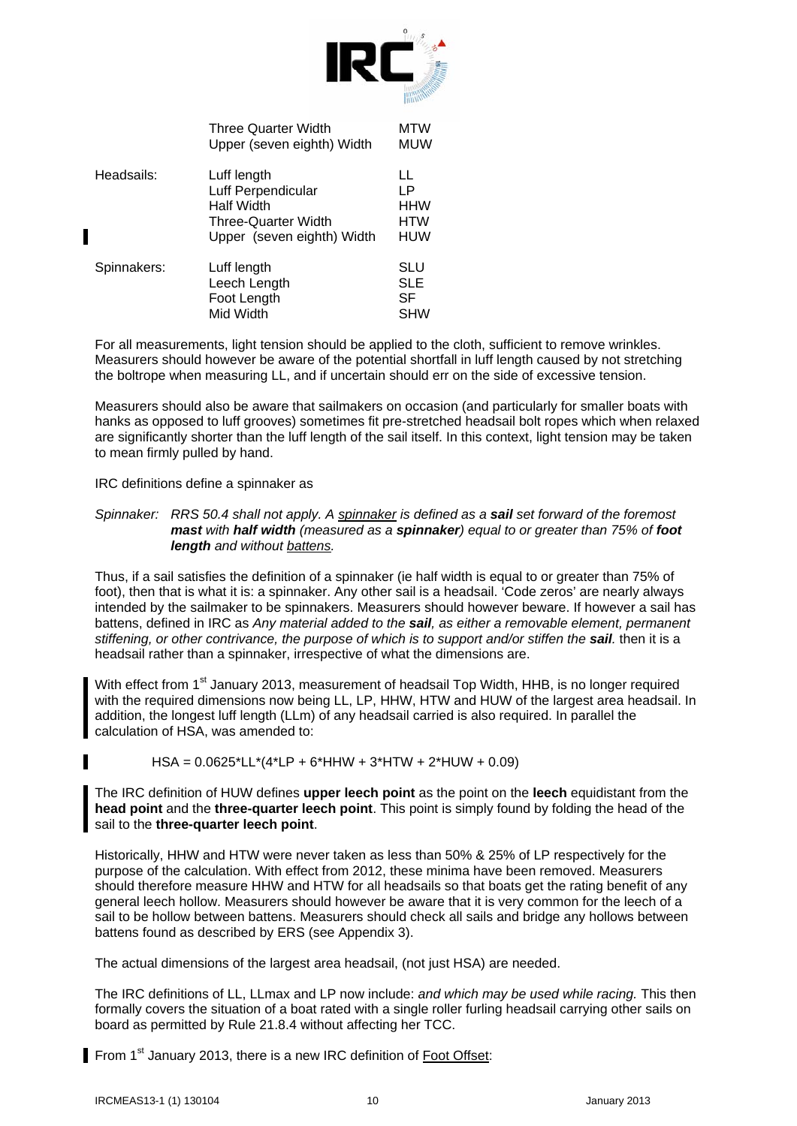

|             | <b>Three Quarter Width</b><br>Upper (seven eighth) Width                                                           | MTW<br>MUW                            |
|-------------|--------------------------------------------------------------------------------------------------------------------|---------------------------------------|
| Headsails:  | Luff length<br>Luff Perpendicular<br><b>Half Width</b><br><b>Three-Quarter Width</b><br>Upper (seven eighth) Width | LL<br>LР<br>HHW<br><b>HTW</b><br>HUW  |
| Spinnakers: | Luff length<br>Leech Length<br>Foot Length<br>Mid Width                                                            | SLU<br><b>SLE</b><br>SF<br><b>SHW</b> |

For all measurements, light tension should be applied to the cloth, sufficient to remove wrinkles. Measurers should however be aware of the potential shortfall in luff length caused by not stretching the boltrope when measuring LL, and if uncertain should err on the side of excessive tension.

Measurers should also be aware that sailmakers on occasion (and particularly for smaller boats with hanks as opposed to luff grooves) sometimes fit pre-stretched headsail bolt ropes which when relaxed are significantly shorter than the luff length of the sail itself. In this context, light tension may be taken to mean firmly pulled by hand.

IRC definitions define a spinnaker as

Π

#### *Spinnaker: RRS 50.4 shall not apply. A spinnaker is defined as a sail set forward of the foremost mast with half width (measured as a spinnaker) equal to or greater than 75% of foot length and without battens.*

Thus, if a sail satisfies the definition of a spinnaker (ie half width is equal to or greater than 75% of foot), then that is what it is: a spinnaker. Any other sail is a headsail. 'Code zeros' are nearly always intended by the sailmaker to be spinnakers. Measurers should however beware. If however a sail has battens, defined in IRC as *Any material added to the sail, as either a removable element, permanent stiffening, or other contrivance, the purpose of which is to support and/or stiffen the sail. then it is a* headsail rather than a spinnaker, irrespective of what the dimensions are.

With effect from 1<sup>st</sup> January 2013, measurement of headsail Top Width, HHB, is no longer required with the required dimensions now being LL, LP, HHW, HTW and HUW of the largest area headsail. In addition, the longest luff length (LLm) of any headsail carried is also required. In parallel the calculation of HSA, was amended to:

#### HSA = 0.0625\*LL\*(4\*LP + 6\*HHW + 3\*HTW + 2\*HUW + 0.09)

The IRC definition of HUW defines **upper leech point** as the point on the **leech** equidistant from the **head point** and the **three-quarter leech point**. This point is simply found by folding the head of the sail to the **three-quarter leech point**.

Historically, HHW and HTW were never taken as less than 50% & 25% of LP respectively for the purpose of the calculation. With effect from 2012, these minima have been removed. Measurers should therefore measure HHW and HTW for all headsails so that boats get the rating benefit of any general leech hollow. Measurers should however be aware that it is very common for the leech of a sail to be hollow between battens. Measurers should check all sails and bridge any hollows between battens found as described by ERS (see Appendix 3).

The actual dimensions of the largest area headsail, (not just HSA) are needed.

The IRC definitions of LL, LLmax and LP now include: *and which may be used while racing.* This then formally covers the situation of a boat rated with a single roller furling headsail carrying other sails on board as permitted by Rule 21.8.4 without affecting her TCC.

From 1<sup>st</sup> January 2013, there is a new IRC definition of Foot Offset: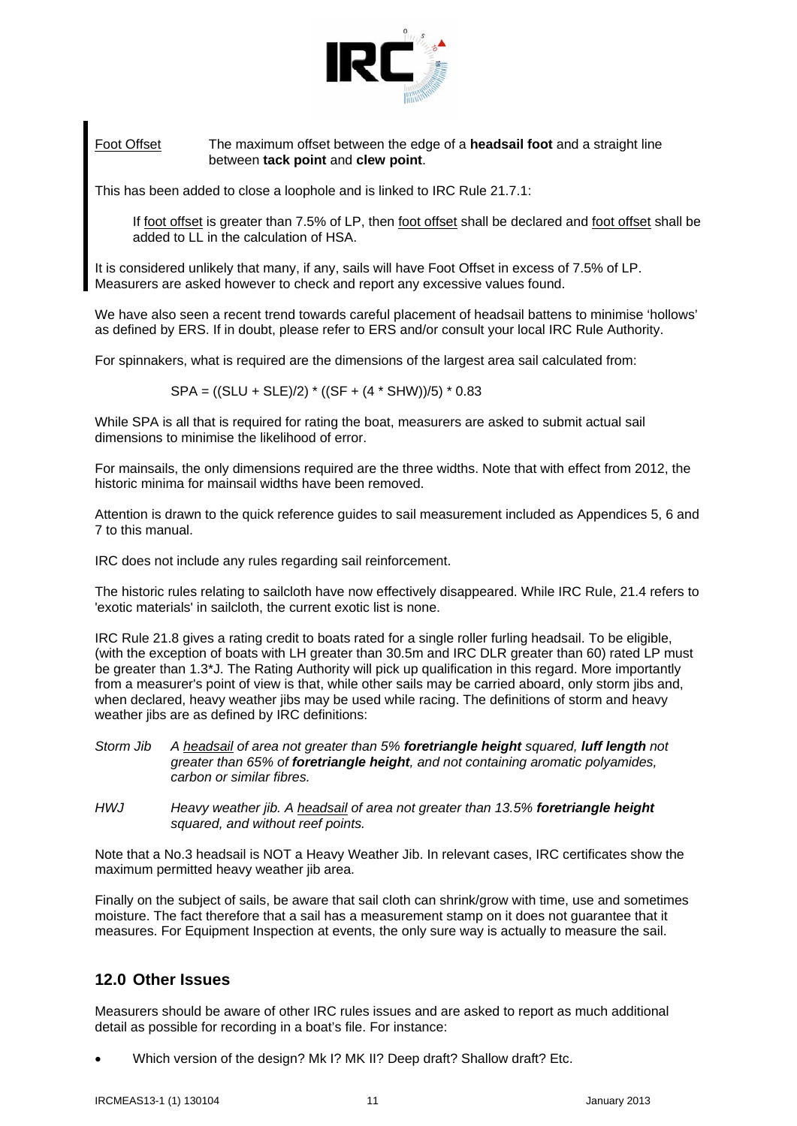

#### Foot Offset The maximum offset between the edge of a **headsail foot** and a straight line between **tack point** and **clew point**.

This has been added to close a loophole and is linked to IRC Rule 21.7.1:

 If foot offset is greater than 7.5% of LP, then foot offset shall be declared and foot offset shall be added to LL in the calculation of HSA.

It is considered unlikely that many, if any, sails will have Foot Offset in excess of 7.5% of LP. Measurers are asked however to check and report any excessive values found.

We have also seen a recent trend towards careful placement of headsail battens to minimise 'hollows' as defined by ERS. If in doubt, please refer to ERS and/or consult your local IRC Rule Authority.

For spinnakers, what is required are the dimensions of the largest area sail calculated from:

SPA = ((SLU + SLE)/2) \* ((SF + (4 \* SHW))/5) \* 0.83

While SPA is all that is required for rating the boat, measurers are asked to submit actual sail dimensions to minimise the likelihood of error.

For mainsails, the only dimensions required are the three widths. Note that with effect from 2012, the historic minima for mainsail widths have been removed.

Attention is drawn to the quick reference guides to sail measurement included as Appendices 5, 6 and 7 to this manual.

IRC does not include any rules regarding sail reinforcement.

The historic rules relating to sailcloth have now effectively disappeared. While IRC Rule, 21.4 refers to 'exotic materials' in sailcloth, the current exotic list is none.

IRC Rule 21.8 gives a rating credit to boats rated for a single roller furling headsail. To be eligible, (with the exception of boats with LH greater than 30.5m and IRC DLR greater than 60) rated LP must be greater than 1.3\*J. The Rating Authority will pick up qualification in this regard. More importantly from a measurer's point of view is that, while other sails may be carried aboard, only storm jibs and, when declared, heavy weather jibs may be used while racing. The definitions of storm and heavy weather jibs are as defined by IRC definitions:

- *Storm Jib A headsail of area not greater than 5% foretriangle height squared, luff length not greater than 65% of foretriangle height, and not containing aromatic polyamides, carbon or similar fibres.*
- *HWJ Heavy weather jib. A headsail of area not greater than 13.5% foretriangle height squared, and without reef points.*

Note that a No.3 headsail is NOT a Heavy Weather Jib. In relevant cases, IRC certificates show the maximum permitted heavy weather jib area.

Finally on the subject of sails, be aware that sail cloth can shrink/grow with time, use and sometimes moisture. The fact therefore that a sail has a measurement stamp on it does not guarantee that it measures. For Equipment Inspection at events, the only sure way is actually to measure the sail.

### **12.0 Other Issues**

Measurers should be aware of other IRC rules issues and are asked to report as much additional detail as possible for recording in a boat's file. For instance:

• Which version of the design? Mk I? MK II? Deep draft? Shallow draft? Etc.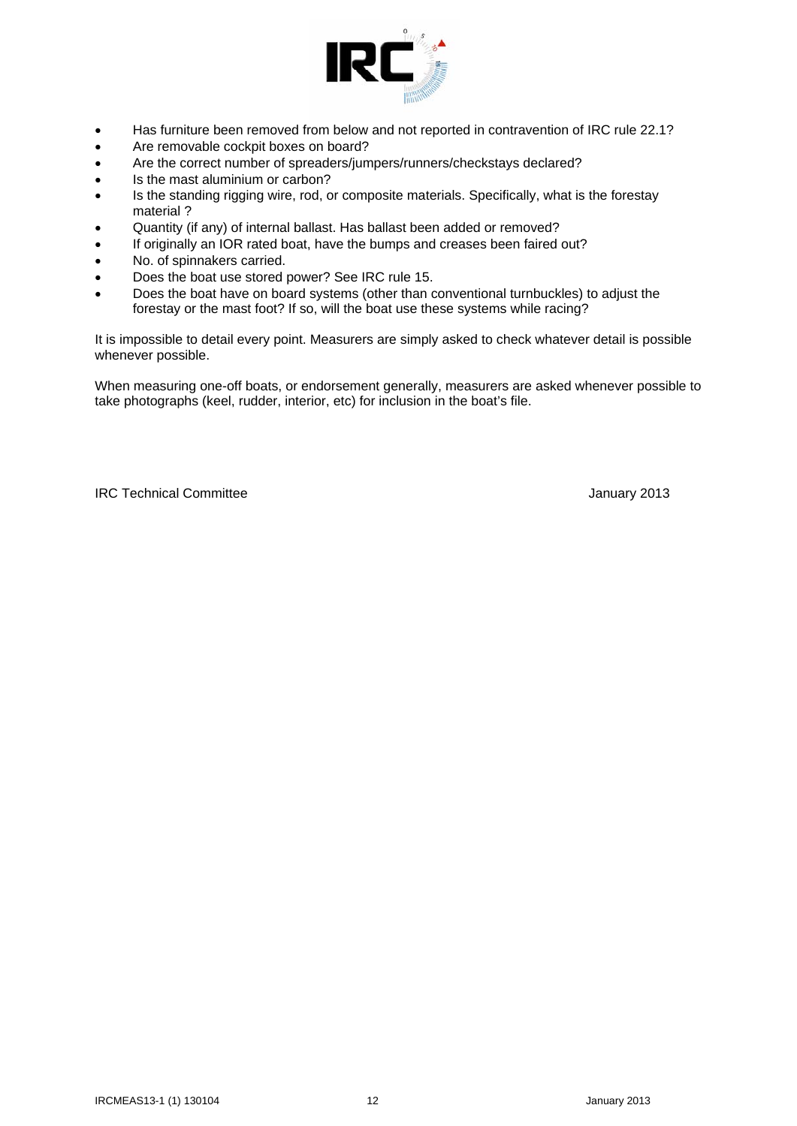

- Has furniture been removed from below and not reported in contravention of IRC rule 22.1?
- Are removable cockpit boxes on board?
- Are the correct number of spreaders/jumpers/runners/checkstays declared?
- Is the mast aluminium or carbon?
- Is the standing rigging wire, rod, or composite materials. Specifically, what is the forestay material ?
- Quantity (if any) of internal ballast. Has ballast been added or removed?
- If originally an IOR rated boat, have the bumps and creases been faired out?
- No. of spinnakers carried.
- Does the boat use stored power? See IRC rule 15.
- Does the boat have on board systems (other than conventional turnbuckles) to adjust the forestay or the mast foot? If so, will the boat use these systems while racing?

It is impossible to detail every point. Measurers are simply asked to check whatever detail is possible whenever possible.

When measuring one-off boats, or endorsement generally, measurers are asked whenever possible to take photographs (keel, rudder, interior, etc) for inclusion in the boat's file.

IRC Technical Committee January 2013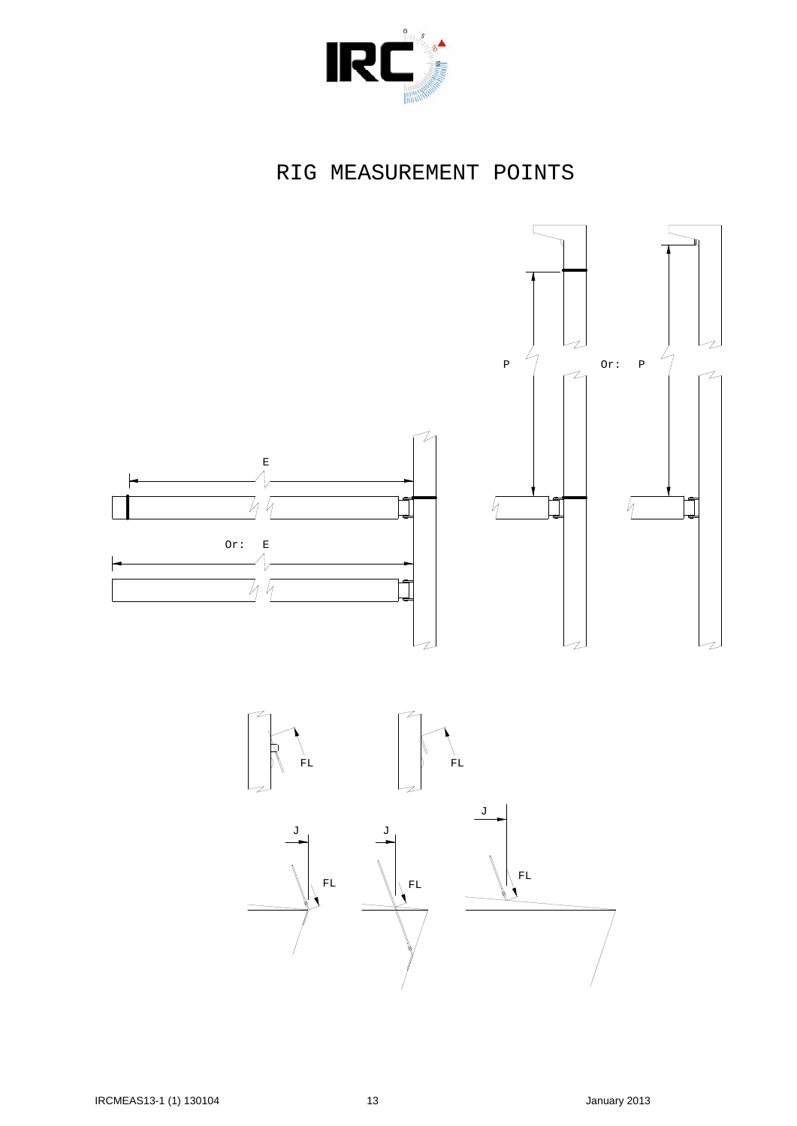

# RIG MEASUREMENT POINTS



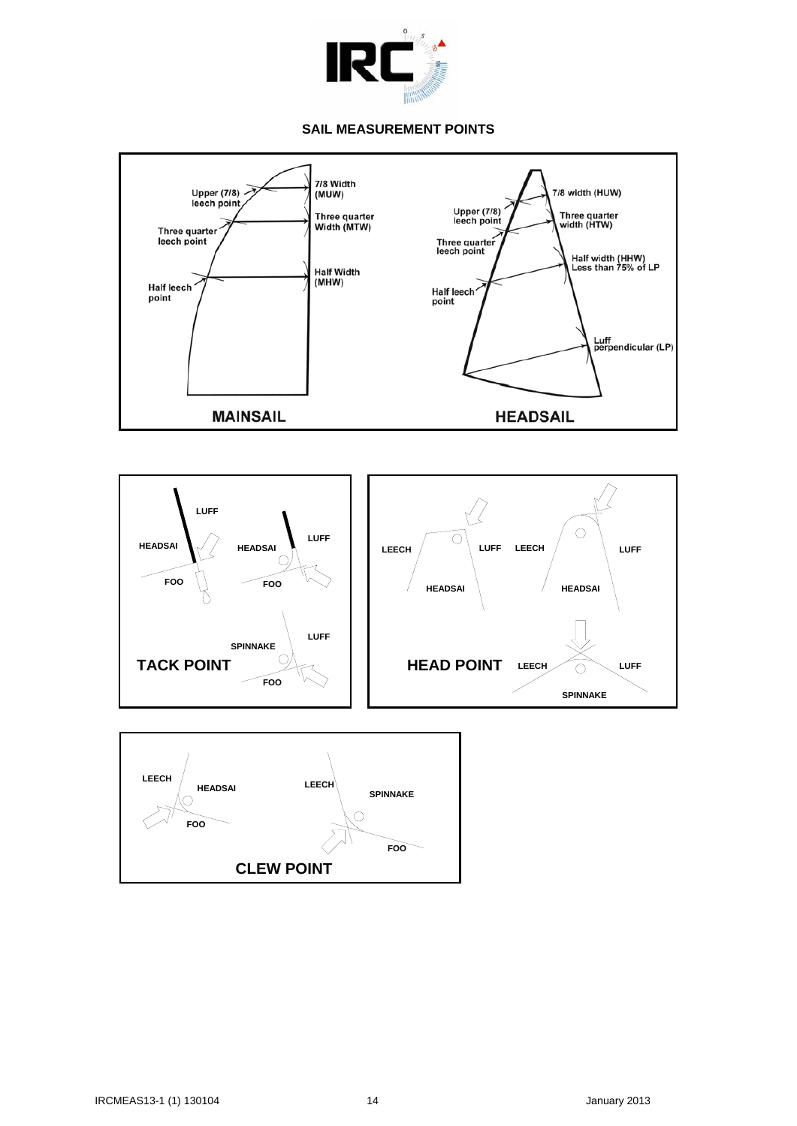

#### **SAIL MEASUREMENT POINTS**

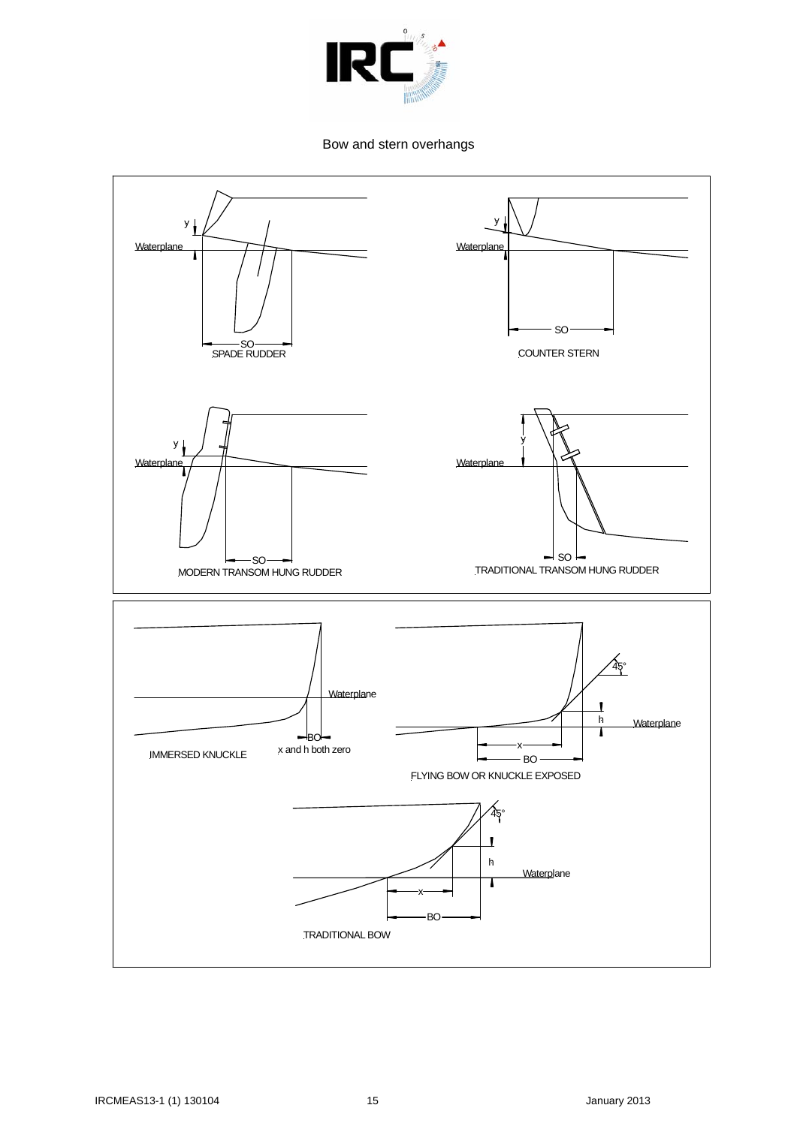

Bow and stern overhangs

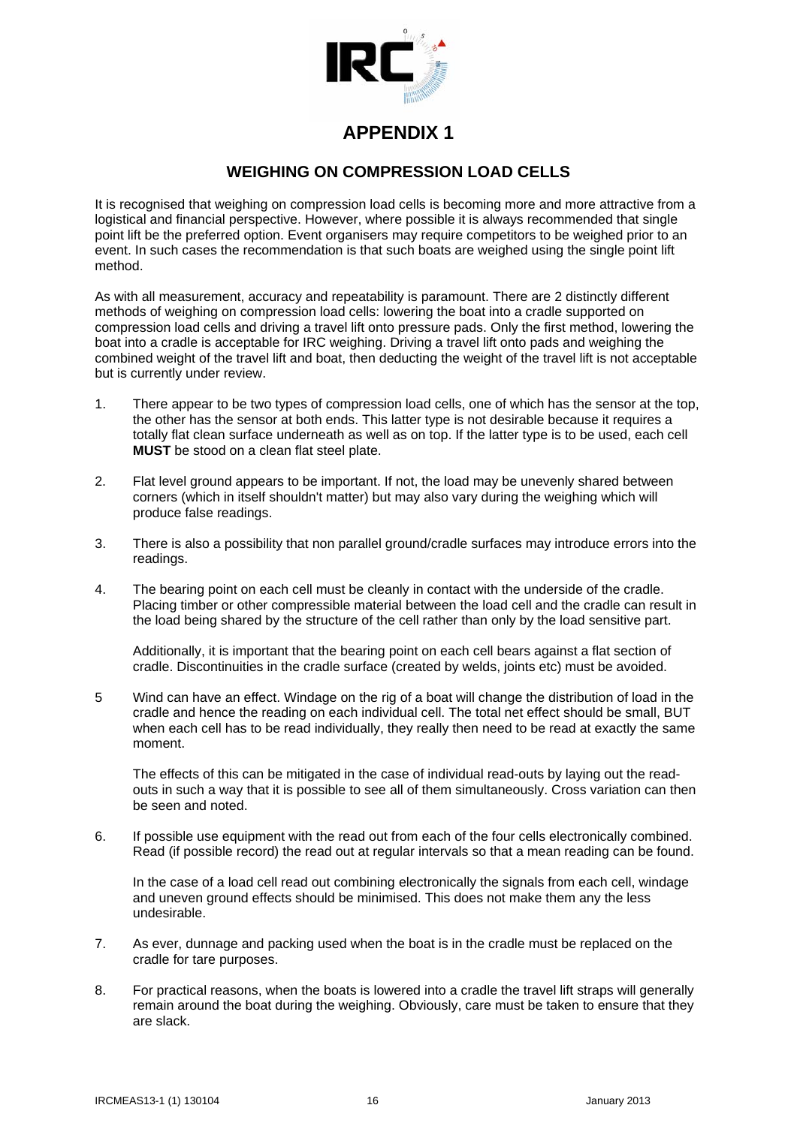

### **WEIGHING ON COMPRESSION LOAD CELLS**

It is recognised that weighing on compression load cells is becoming more and more attractive from a logistical and financial perspective. However, where possible it is always recommended that single point lift be the preferred option. Event organisers may require competitors to be weighed prior to an event. In such cases the recommendation is that such boats are weighed using the single point lift method.

As with all measurement, accuracy and repeatability is paramount. There are 2 distinctly different methods of weighing on compression load cells: lowering the boat into a cradle supported on compression load cells and driving a travel lift onto pressure pads. Only the first method, lowering the boat into a cradle is acceptable for IRC weighing. Driving a travel lift onto pads and weighing the combined weight of the travel lift and boat, then deducting the weight of the travel lift is not acceptable but is currently under review.

- 1. There appear to be two types of compression load cells, one of which has the sensor at the top, the other has the sensor at both ends. This latter type is not desirable because it requires a totally flat clean surface underneath as well as on top. If the latter type is to be used, each cell **MUST** be stood on a clean flat steel plate.
- 2. Flat level ground appears to be important. If not, the load may be unevenly shared between corners (which in itself shouldn't matter) but may also vary during the weighing which will produce false readings.
- 3. There is also a possibility that non parallel ground/cradle surfaces may introduce errors into the readings.
- 4. The bearing point on each cell must be cleanly in contact with the underside of the cradle. Placing timber or other compressible material between the load cell and the cradle can result in the load being shared by the structure of the cell rather than only by the load sensitive part.

 Additionally, it is important that the bearing point on each cell bears against a flat section of cradle. Discontinuities in the cradle surface (created by welds, joints etc) must be avoided.

5 Wind can have an effect. Windage on the rig of a boat will change the distribution of load in the cradle and hence the reading on each individual cell. The total net effect should be small, BUT when each cell has to be read individually, they really then need to be read at exactly the same moment.

 The effects of this can be mitigated in the case of individual read-outs by laying out the readouts in such a way that it is possible to see all of them simultaneously. Cross variation can then be seen and noted.

6. If possible use equipment with the read out from each of the four cells electronically combined. Read (if possible record) the read out at regular intervals so that a mean reading can be found.

In the case of a load cell read out combining electronically the signals from each cell, windage and uneven ground effects should be minimised. This does not make them any the less undesirable.

- 7. As ever, dunnage and packing used when the boat is in the cradle must be replaced on the cradle for tare purposes.
- 8. For practical reasons, when the boats is lowered into a cradle the travel lift straps will generally remain around the boat during the weighing. Obviously, care must be taken to ensure that they are slack.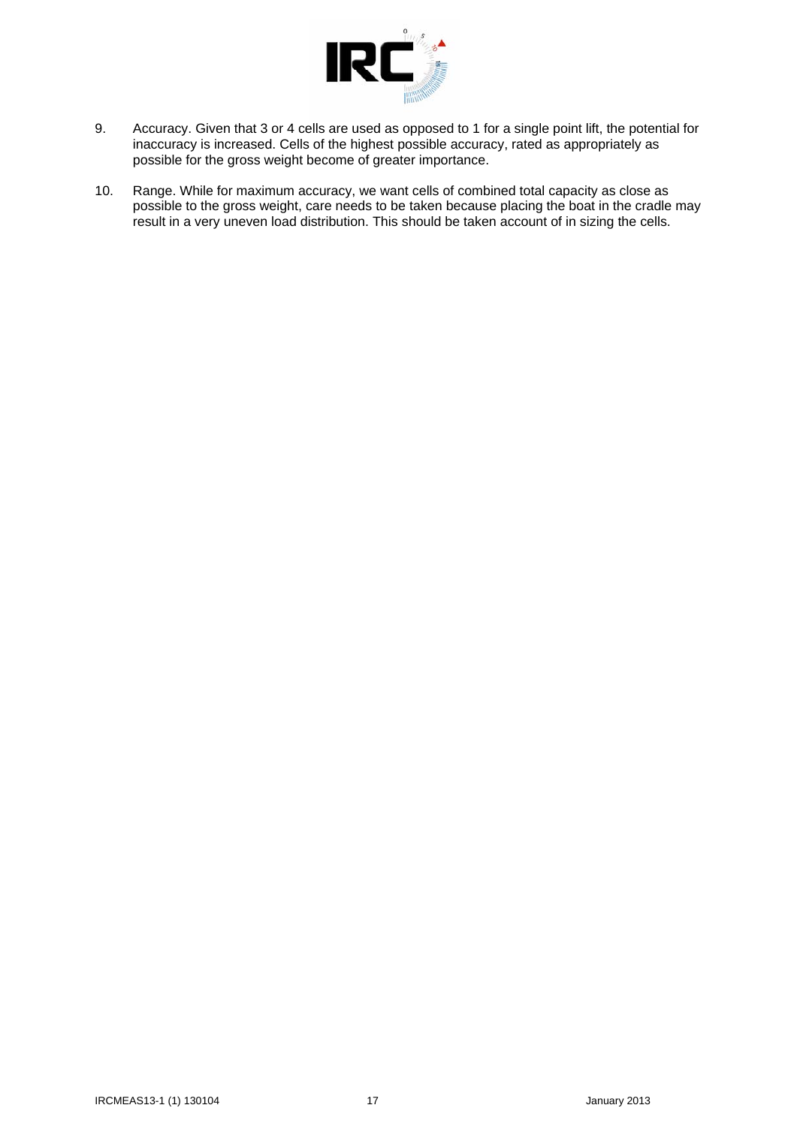

- 9. Accuracy. Given that 3 or 4 cells are used as opposed to 1 for a single point lift, the potential for inaccuracy is increased. Cells of the highest possible accuracy, rated as appropriately as possible for the gross weight become of greater importance.
- 10. Range. While for maximum accuracy, we want cells of combined total capacity as close as possible to the gross weight, care needs to be taken because placing the boat in the cradle may result in a very uneven load distribution. This should be taken account of in sizing the cells.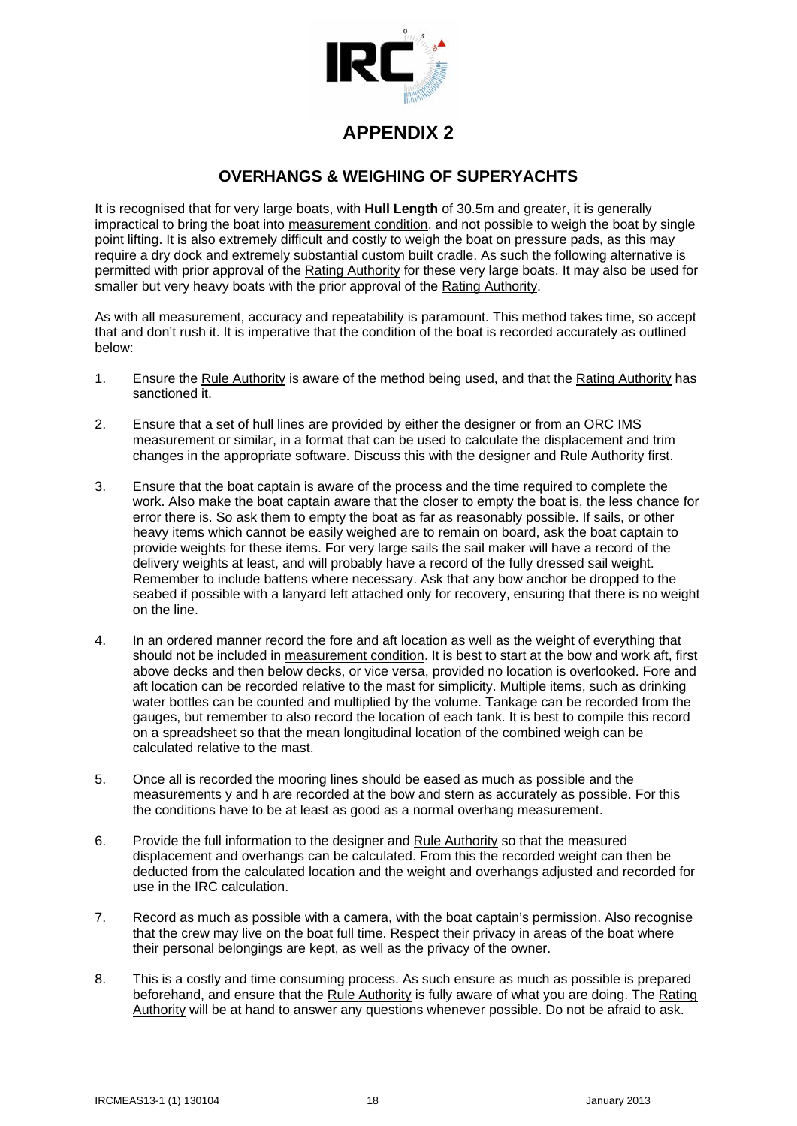

## **OVERHANGS & WEIGHING OF SUPERYACHTS**

It is recognised that for very large boats, with **Hull Length** of 30.5m and greater, it is generally impractical to bring the boat into measurement condition, and not possible to weigh the boat by single point lifting. It is also extremely difficult and costly to weigh the boat on pressure pads, as this may require a dry dock and extremely substantial custom built cradle. As such the following alternative is permitted with prior approval of the Rating Authority for these very large boats. It may also be used for smaller but very heavy boats with the prior approval of the Rating Authority.

As with all measurement, accuracy and repeatability is paramount. This method takes time, so accept that and don't rush it. It is imperative that the condition of the boat is recorded accurately as outlined below:

- 1. Ensure the Rule Authority is aware of the method being used, and that the Rating Authority has sanctioned it.
- 2. Ensure that a set of hull lines are provided by either the designer or from an ORC IMS measurement or similar, in a format that can be used to calculate the displacement and trim changes in the appropriate software. Discuss this with the designer and Rule Authority first.
- 3. Ensure that the boat captain is aware of the process and the time required to complete the work. Also make the boat captain aware that the closer to empty the boat is, the less chance for error there is. So ask them to empty the boat as far as reasonably possible. If sails, or other heavy items which cannot be easily weighed are to remain on board, ask the boat captain to provide weights for these items. For very large sails the sail maker will have a record of the delivery weights at least, and will probably have a record of the fully dressed sail weight. Remember to include battens where necessary. Ask that any bow anchor be dropped to the seabed if possible with a lanyard left attached only for recovery, ensuring that there is no weight on the line.
- 4. In an ordered manner record the fore and aft location as well as the weight of everything that should not be included in measurement condition. It is best to start at the bow and work aft, first above decks and then below decks, or vice versa, provided no location is overlooked. Fore and aft location can be recorded relative to the mast for simplicity. Multiple items, such as drinking water bottles can be counted and multiplied by the volume. Tankage can be recorded from the gauges, but remember to also record the location of each tank. It is best to compile this record on a spreadsheet so that the mean longitudinal location of the combined weigh can be calculated relative to the mast.
- 5. Once all is recorded the mooring lines should be eased as much as possible and the measurements y and h are recorded at the bow and stern as accurately as possible. For this the conditions have to be at least as good as a normal overhang measurement.
- 6. Provide the full information to the designer and Rule Authority so that the measured displacement and overhangs can be calculated. From this the recorded weight can then be deducted from the calculated location and the weight and overhangs adjusted and recorded for use in the IRC calculation.
- 7. Record as much as possible with a camera, with the boat captain's permission. Also recognise that the crew may live on the boat full time. Respect their privacy in areas of the boat where their personal belongings are kept, as well as the privacy of the owner.
- 8. This is a costly and time consuming process. As such ensure as much as possible is prepared beforehand, and ensure that the Rule Authority is fully aware of what you are doing. The Rating Authority will be at hand to answer any questions whenever possible. Do not be afraid to ask.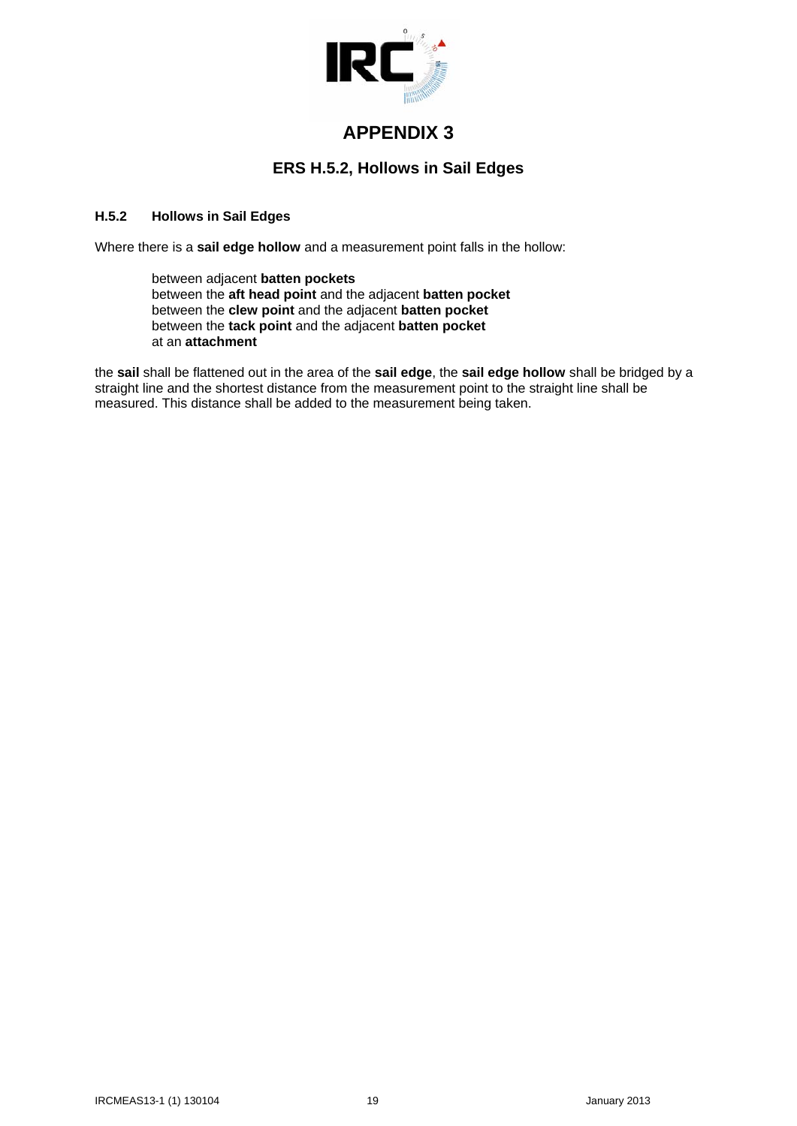

## **ERS H.5.2, Hollows in Sail Edges**

### **H.5.2 Hollows in Sail Edges**

Where there is a **sail edge hollow** and a measurement point falls in the hollow:

 between adjacent **batten pockets** between the **aft head point** and the adjacent **batten pocket** between the **clew point** and the adjacent **batten pocket** between the **tack point** and the adjacent **batten pocket** at an **attachment**

the **sail** shall be flattened out in the area of the **sail edge**, the **sail edge hollow** shall be bridged by a straight line and the shortest distance from the measurement point to the straight line shall be measured. This distance shall be added to the measurement being taken.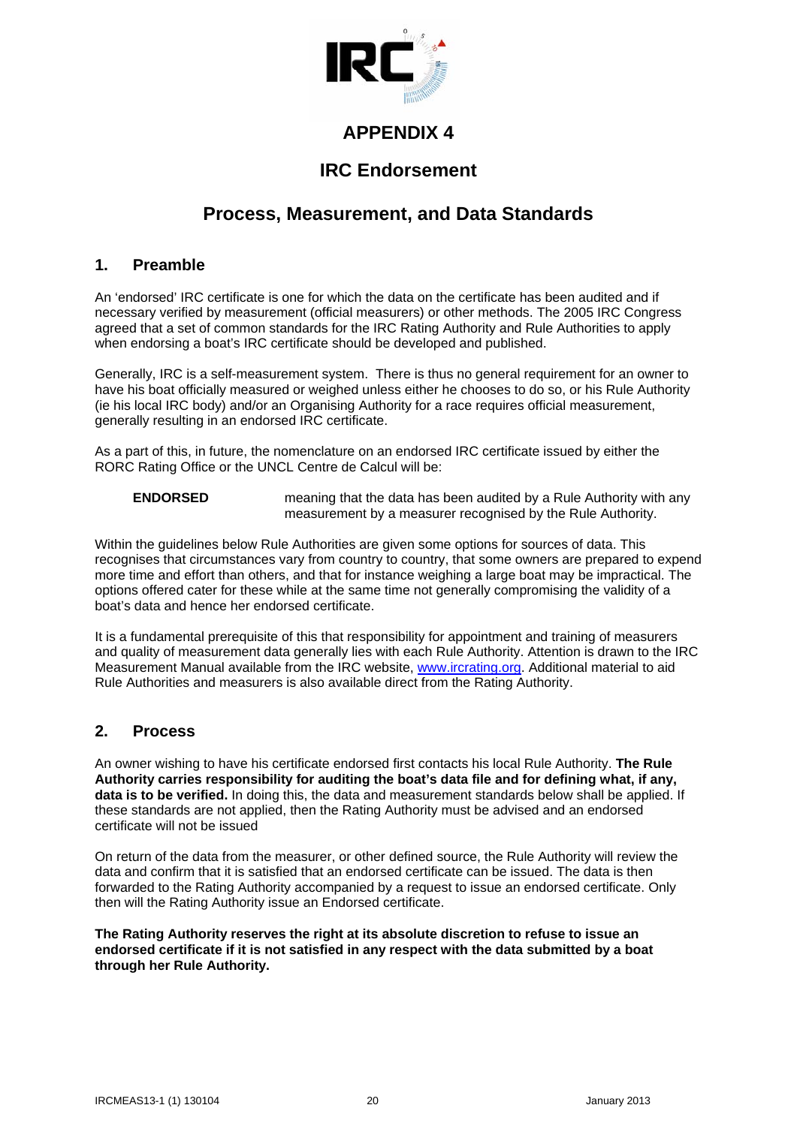

# **IRC Endorsement**

# **Process, Measurement, and Data Standards**

### **1. Preamble**

An 'endorsed' IRC certificate is one for which the data on the certificate has been audited and if necessary verified by measurement (official measurers) or other methods. The 2005 IRC Congress agreed that a set of common standards for the IRC Rating Authority and Rule Authorities to apply when endorsing a boat's IRC certificate should be developed and published.

Generally, IRC is a self-measurement system. There is thus no general requirement for an owner to have his boat officially measured or weighed unless either he chooses to do so, or his Rule Authority (ie his local IRC body) and/or an Organising Authority for a race requires official measurement, generally resulting in an endorsed IRC certificate.

As a part of this, in future, the nomenclature on an endorsed IRC certificate issued by either the RORC Rating Office or the UNCL Centre de Calcul will be:

**ENDORSED** meaning that the data has been audited by a Rule Authority with any measurement by a measurer recognised by the Rule Authority.

Within the guidelines below Rule Authorities are given some options for sources of data. This recognises that circumstances vary from country to country, that some owners are prepared to expend more time and effort than others, and that for instance weighing a large boat may be impractical. The options offered cater for these while at the same time not generally compromising the validity of a boat's data and hence her endorsed certificate.

It is a fundamental prerequisite of this that responsibility for appointment and training of measurers and quality of measurement data generally lies with each Rule Authority. Attention is drawn to the IRC Measurement Manual available from the IRC website, [www.ircrating.org.](http://www.ircrating.org/) Additional material to aid Rule Authorities and measurers is also available direct from the Rating Authority.

### **2. Process**

An owner wishing to have his certificate endorsed first contacts his local Rule Authority. **The Rule Authority carries responsibility for auditing the boat's data file and for defining what, if any, data is to be verified.** In doing this, the data and measurement standards below shall be applied. If these standards are not applied, then the Rating Authority must be advised and an endorsed certificate will not be issued

On return of the data from the measurer, or other defined source, the Rule Authority will review the data and confirm that it is satisfied that an endorsed certificate can be issued. The data is then forwarded to the Rating Authority accompanied by a request to issue an endorsed certificate. Only then will the Rating Authority issue an Endorsed certificate.

**The Rating Authority reserves the right at its absolute discretion to refuse to issue an endorsed certificate if it is not satisfied in any respect with the data submitted by a boat through her Rule Authority.**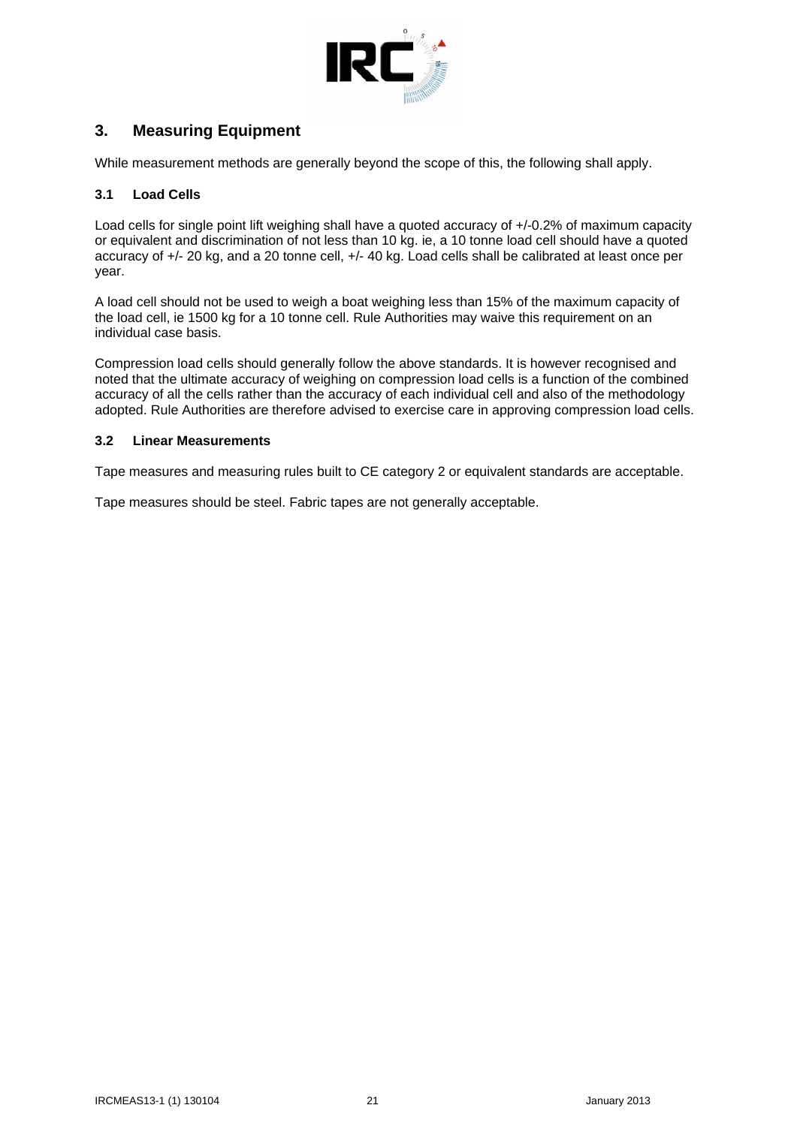

## **3. Measuring Equipment**

While measurement methods are generally beyond the scope of this, the following shall apply.

#### **3.1 Load Cells**

Load cells for single point lift weighing shall have a quoted accuracy of +/-0.2% of maximum capacity or equivalent and discrimination of not less than 10 kg. ie, a 10 tonne load cell should have a quoted accuracy of +/- 20 kg, and a 20 tonne cell, +/- 40 kg. Load cells shall be calibrated at least once per year.

A load cell should not be used to weigh a boat weighing less than 15% of the maximum capacity of the load cell, ie 1500 kg for a 10 tonne cell. Rule Authorities may waive this requirement on an individual case basis.

Compression load cells should generally follow the above standards. It is however recognised and noted that the ultimate accuracy of weighing on compression load cells is a function of the combined accuracy of all the cells rather than the accuracy of each individual cell and also of the methodology adopted. Rule Authorities are therefore advised to exercise care in approving compression load cells.

#### **3.2 Linear Measurements**

Tape measures and measuring rules built to CE category 2 or equivalent standards are acceptable.

Tape measures should be steel. Fabric tapes are not generally acceptable.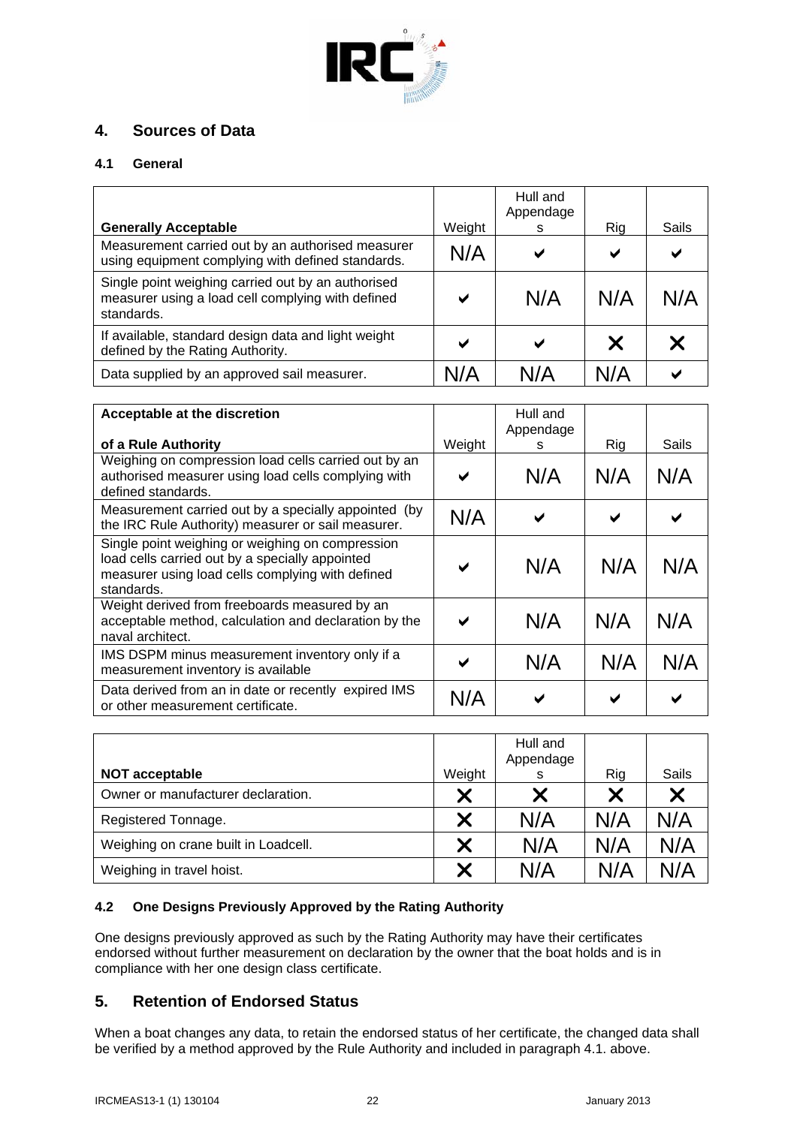

## **4. Sources of Data**

### **4.1 General**

| <b>Generally Acceptable</b>                                                                                           | Weight | Hull and<br>Appendage<br>s | Rig | Sails |
|-----------------------------------------------------------------------------------------------------------------------|--------|----------------------------|-----|-------|
| Measurement carried out by an authorised measurer<br>using equipment complying with defined standards.                | N/A    | ✔                          | ✔   | ✔     |
| Single point weighing carried out by an authorised<br>measurer using a load cell complying with defined<br>standards. | ✔      | N/A                        | N/A | N/A   |
| If available, standard design data and light weight<br>defined by the Rating Authority.                               | ✔      | ✔                          | X   |       |
| Data supplied by an approved sail measurer.                                                                           | N/A    | N/A                        | N/A |       |

| Acceptable at the discretion                                                                                                                                          |              | Hull and<br>Appendage |     |       |
|-----------------------------------------------------------------------------------------------------------------------------------------------------------------------|--------------|-----------------------|-----|-------|
| of a Rule Authority                                                                                                                                                   | Weight       | s                     | Rig | Sails |
| Weighing on compression load cells carried out by an<br>authorised measurer using load cells complying with<br>defined standards.                                     | ✔            | N/A                   | N/A | N/A   |
| Measurement carried out by a specially appointed (by<br>the IRC Rule Authority) measurer or sail measurer.                                                            | N/A          | ✔                     |     |       |
| Single point weighing or weighing on compression<br>load cells carried out by a specially appointed<br>measurer using load cells complying with defined<br>standards. | ✔            | N/A                   | N/A | N/A   |
| Weight derived from freeboards measured by an<br>acceptable method, calculation and declaration by the<br>naval architect.                                            | $\checkmark$ | N/A                   | N/A | N/A   |
| IMS DSPM minus measurement inventory only if a<br>measurement inventory is available                                                                                  | ✔            | N/A                   | N/A | N/A   |
| Data derived from an in date or recently expired IMS<br>or other measurement certificate.                                                                             | N/A          |                       |     |       |

|                                      |        | Hull and<br>Appendage |     |       |
|--------------------------------------|--------|-----------------------|-----|-------|
| <b>NOT acceptable</b>                | Weight | s                     | Rig | Sails |
| Owner or manufacturer declaration.   | Х      | Х                     | X   |       |
| Registered Tonnage.                  | X      | N/A                   | N/A | N/A   |
| Weighing on crane built in Loadcell. | X      | N/A                   | N/A | N/A   |
| Weighing in travel hoist.            |        | N/A                   | N/A | N/A   |

### **4.2 One Designs Previously Approved by the Rating Authority**

One designs previously approved as such by the Rating Authority may have their certificates endorsed without further measurement on declaration by the owner that the boat holds and is in compliance with her one design class certificate.

## **5. Retention of Endorsed Status**

When a boat changes any data, to retain the endorsed status of her certificate, the changed data shall be verified by a method approved by the Rule Authority and included in paragraph 4.1. above.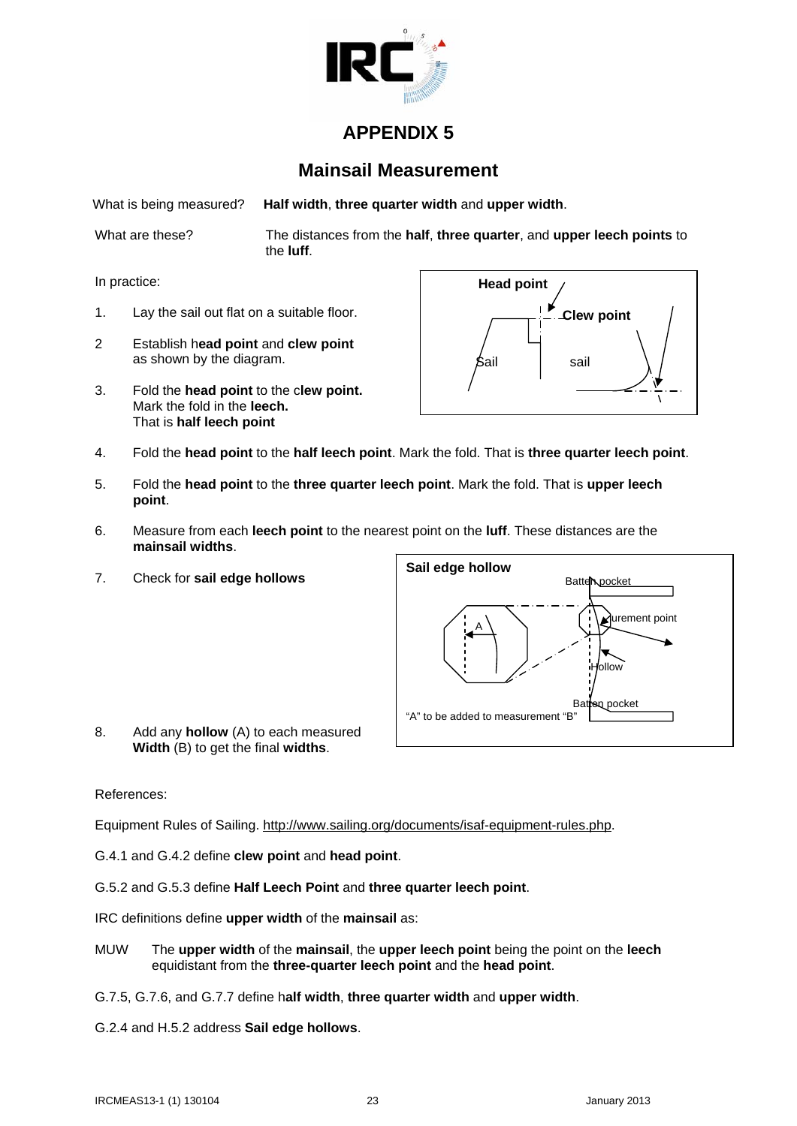

# **Mainsail Measurement**

What is being measured? **Half width**, **three quarter width** and **upper width**.

What are these? The distances from the **half**, **three quarter**, and **upper leech points** to the **luff**.

In practice:

- 1. Lay the sail out flat on a suitable floor.
- 2 Establish h**ead point** and **clew point** as shown by the diagram.
- 3. Fold the **head point** to the c**lew point.** Mark the fold in the **leech.**  That is **half leech point**



- 4. Fold the **head point** to the **half leech point**. Mark the fold. That is **three quarter leech point**.
- 5. Fold the **head point** to the **three quarter leech point**. Mark the fold. That is **upper leech point**.
- 6. Measure from each **leech point** to the nearest point on the **luff**. These distances are the **mainsail widths**.
- 7. Check for **sail edge hollows**



8. Add any **hollow** (A) to each measured **Width** (B) to get the final **widths**.

#### References:

Equipment Rules of Sailing. [http://www.sailing.org/documents/isaf-equipment-rules.php.](http://www.sailing.org/documents/isaf-equipment-rules.php)

G.4.1 and G.4.2 define **clew point** and **head point**.

G.5.2 and G.5.3 define **Half Leech Point** and **three quarter leech point**.

IRC definitions define **upper width** of the **mainsail** as:

- MUW The **upper width** of the **mainsail**, the **upper leech point** being the point on the **leech** equidistant from the **three-quarter leech point** and the **head point**.
- G.7.5, G.7.6, and G.7.7 define h**alf width**, **three quarter width** and **upper width**.
- G.2.4 and H.5.2 address **Sail edge hollows**.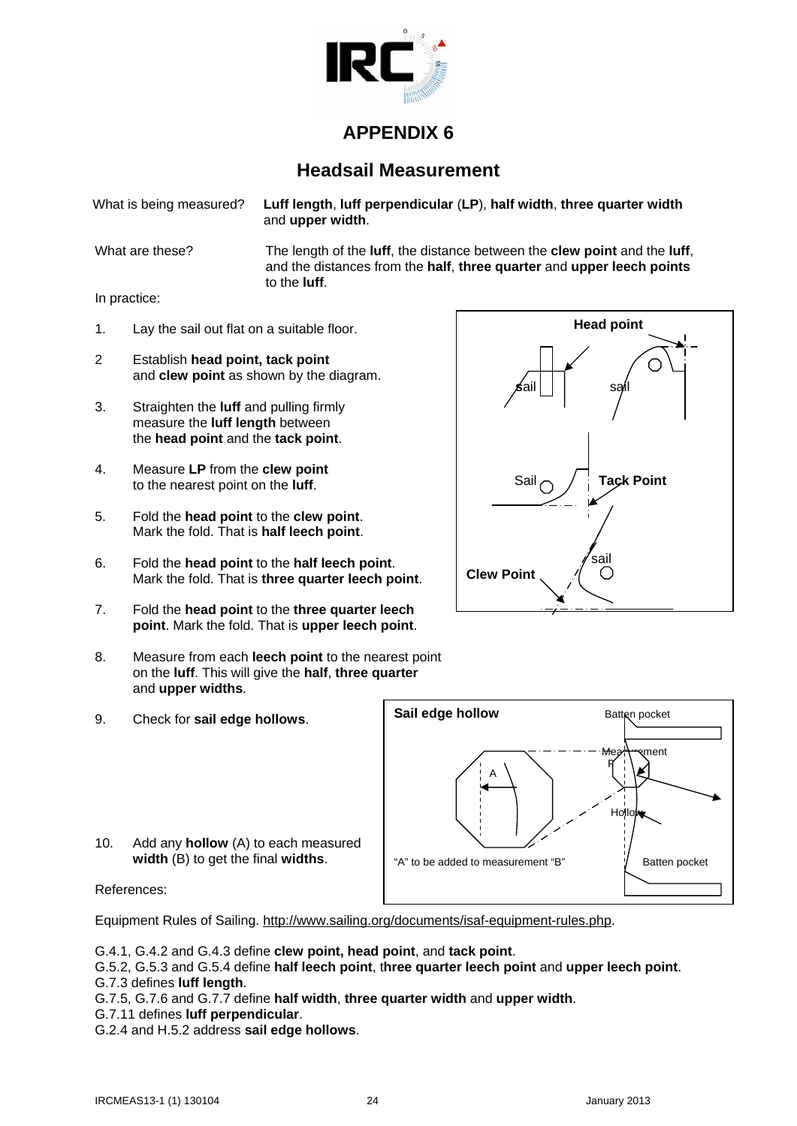

# **Headsail Measurement**

What is being measured? **Luff length**, **luff perpendicular** (**LP**), **half width**, **three quarter width** and **upper width**.

What are these? The length of the **luff**, the distance between the **clew point** and the **luff**, and the distances from the **half**, **three quarter** and **upper leech points** to the **luff**.

In practice:

- 1. Lay the sail out flat on a suitable floor.
- 2 Establish **head point, tack point**  and **clew point** as shown by the diagram.
- 3. Straighten the **luff** and pulling firmly measure the **luff length** between the **head point** and the **tack point**.
- 4. Measure **LP** from the **clew point** to the nearest point on the **luff**.
- 5. Fold the **head point** to the **clew point**. Mark the fold. That is **half leech point**.
- 6. Fold the **head point** to the **half leech point**. Mark the fold. That is **three quarter leech point**.
- 7. Fold the **head point** to the **three quarter leech point**. Mark the fold. That is **upper leech point**.
- 8. Measure from each **leech point** to the nearest point on the **luff**. This will give the **half**, **three quarter** and **upper widths**.
- 9. Check for **sail edge hollows**.



**width** (B) to get the final **widths**.

10. Add any **hollow** (A) to each measured

References:

Equipment Rules of Sailing. [http://www.sailing.org/documents/isaf-equipment-rules.php.](http://www.sailing.org/documents/isaf-equipment-rules.php)

G.4.1, G.4.2 and G.4.3 define **clew point, head point**, and **tack point**.

G.5.2, G.5.3 and G.5.4 define **half leech point**, t**hree quarter leech point** and **upper leech point**. G.7.3 defines **luff length**.

G.7.5, G.7.6 and G.7.7 define **half width**, **three quarter width** and **upper width**.

- G.7.11 defines **luff perpendicular**.
- G.2.4 and H.5.2 address **sail edge hollows**.